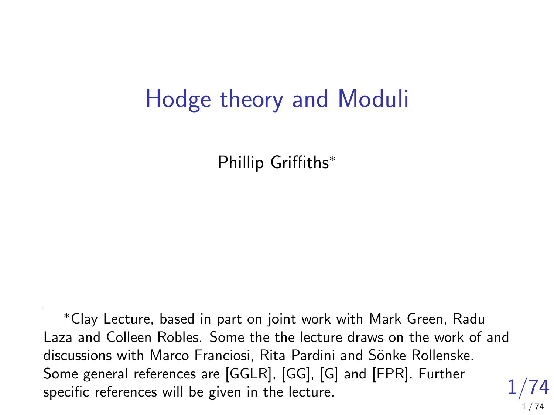# Hodge theory and Moduli

Phillip Griffiths<sup>∗</sup>

<sup>1/74</sup> <sup>∗</sup>Clay Lecture, based in part on joint work with Mark Green, Radu Laza and Colleen Robles. Some the the lecture draws on the work of and discussions with Marco Franciosi, Rita Pardini and Sönke Rollenske. Some general references are [GGLR], [GG], [G] and [FPR]. Further specific references will be given in the lecture.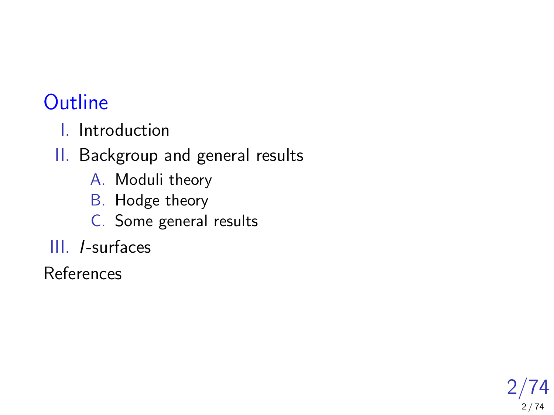### **Outline**

I. Introduction

II. Backgroup and general results

- A. Moduli theory
- B. Hodge theory
- C. Some general results
- III. I-surfaces

References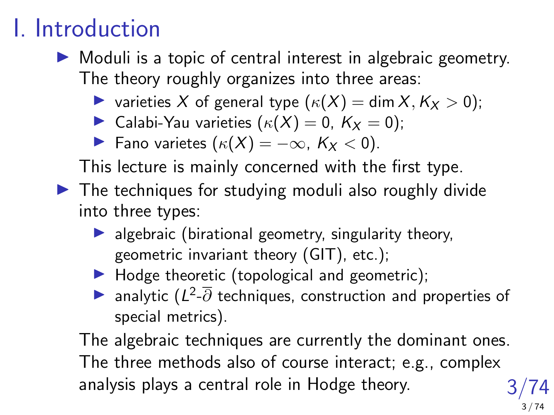# I. Introduction

- $\triangleright$  Moduli is a topic of central interest in algebraic geometry. The theory roughly organizes into three areas:
	- $\triangleright$  varieties X of general type  $(\kappa(X) = \dim X, K_X > 0);$
	- **In Calabi-Yau varieties**  $(\kappa(X) = 0, K_X = 0);$
	- $\blacktriangleright$  Fano varietes  $(\kappa(X) = -\infty, K_X < 0)$ .

This lecture is mainly concerned with the first type.

- $\blacktriangleright$  The techniques for studying moduli also roughly divide into three types:
	- $\blacktriangleright$  algebraic (birational geometry, singularity theory, geometric invariant theory (GIT), etc.);
	- $\blacktriangleright$  Hodge theoretic (topological and geometric);
	- → analytic  $(L^2$ - $\overline{\partial}$  techniques, construction and properties of special metrics).

3/74 The algebraic techniques are currently the dominant ones. The three methods also of course interact; e.g., complex analysis plays a central role in Hodge theory.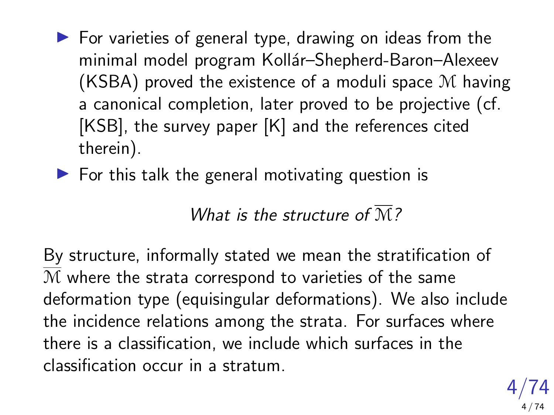- $\triangleright$  For varieties of general type, drawing on ideas from the minimal model program Kollár–Shepherd-Baron–Alexeev (KSBA) proved the existence of a moduli space M having a canonical completion, later proved to be projective (cf. [KSB], the survey paper [K] and the references cited therein).
- $\blacktriangleright$  For this talk the general motivating question is

What is the structure of  $\overline{M}$ ?

By structure, informally stated we mean the stratification of M where the strata correspond to varieties of the same deformation type (equisingular deformations). We also include the incidence relations among the strata. For surfaces where there is a classification, we include which surfaces in the classification occur in a stratum.

> 4/74 4 / 74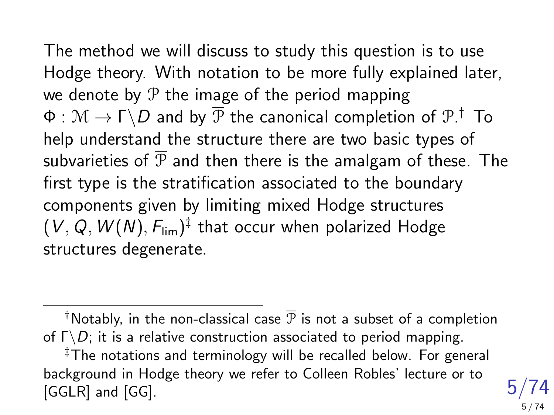The method we will discuss to study this question is to use Hodge theory. With notation to be more fully explained later, we denote by  $P$  the image of the period mapping  $\Phi:\mathcal{M}\rightarrow\Gamma\backslash D$  and by  $\overline{\mathcal{P}}$  the canonical completion of  $\mathcal{P}.\dagger$  To help understand the structure there are two basic types of subvarieties of  $\overline{P}$  and then there is the amalgam of these. The first type is the stratification associated to the boundary components given by limiting mixed Hodge structures  $(\,V,Q,W(N),F_{\mathrm{lim}})^{\ddagger}$  that occur when polarized Hodge structures degenerate.

<sup>†</sup>Notably, in the non-classical case  $\overline{P}$  is not a subset of a completion of  $\Gamma \backslash D$ ; it is a relative construction associated to period mapping.

‡The notations and terminology will be recalled below. For general background in Hodge theory we refer to Colleen Robles' lecture or to [GGLR] and [GG].

5/74

5 / 74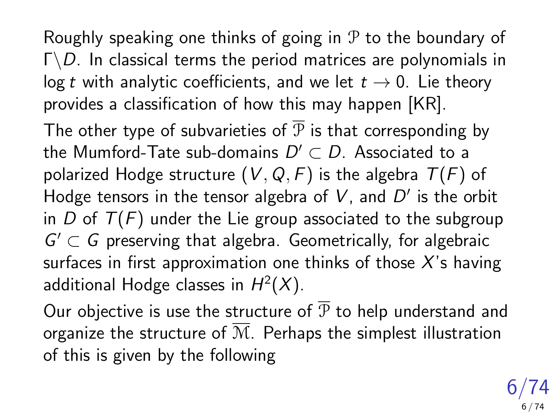Roughly speaking one thinks of going in  $P$  to the boundary of  $\Gamma \backslash D$ . In classical terms the period matrices are polynomials in log t with analytic coefficients, and we let  $t \to 0$ . Lie theory provides a classification of how this may happen [KR].

The other type of subvarieties of  $\overline{P}$  is that corresponding by the Mumford-Tate sub-domains  $D'\subset D.$  Associated to a polarized Hodge structure  $(V, Q, F)$  is the algebra  $T(F)$  of Hodge tensors in the tensor algebra of  $V$ , and  $D'$  is the orbit in D of  $T(F)$  under the Lie group associated to the subgroup  $G' \subset G$  preserving that algebra. Geometrically, for algebraic surfaces in first approximation one thinks of those  $X$ 's having additional Hodge classes in  $H^2(X)$ .

Our objective is use the structure of  $\overline{P}$  to help understand and organize the structure of  $\overline{M}$ . Perhaps the simplest illustration of this is given by the following

> $6/74$ 6 / 74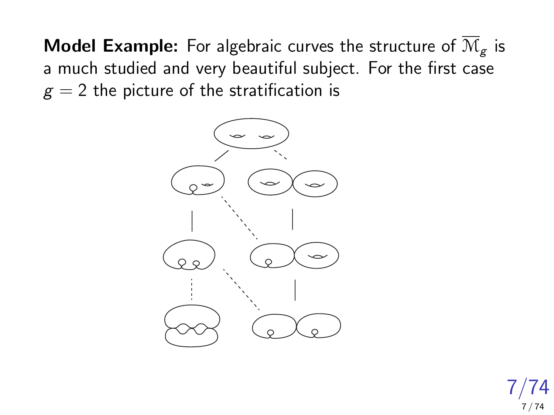**Model Example:** For algebraic curves the structure of  $\overline{\mathcal{M}}_{g}$  is a much studied and very beautiful subject. For the first case  $g = 2$  the picture of the stratification is



7/74 7 / 74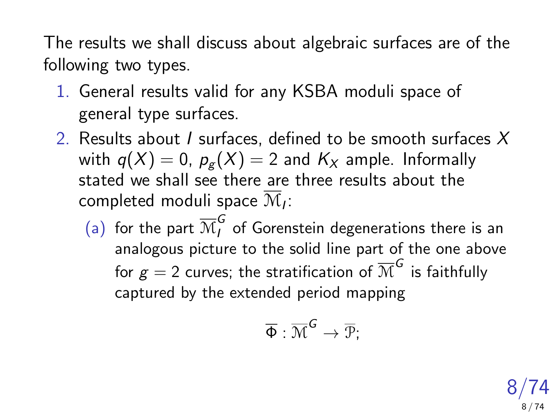The results we shall discuss about algebraic surfaces are of the following two types.

- 1. General results valid for any KSBA moduli space of general type surfaces.
- 2. Results about I surfaces, defined to be smooth surfaces  $X$ with  $q(X) = 0$ ,  $p_{\sigma}(X) = 2$  and  $K_X$  ample. Informally stated we shall see there are three results about the completed moduli space  $\mathcal{M}_I$ :
	- (a) for the part  $\overline{\mathcal{M}}^G_f$  of Gorenstein degenerations there is an analogous picture to the solid line part of the one above for  $g=2$  curves; the stratification of  $\overline{\mathcal{M}}^{\bm{\mathcal{G}}}$  is faithfully captured by the extended period mapping

$$
\overline{\Phi}:\overline{\mathcal{M}}^{\textsf{G}}\rightarrow\overline{\mathcal{P}};
$$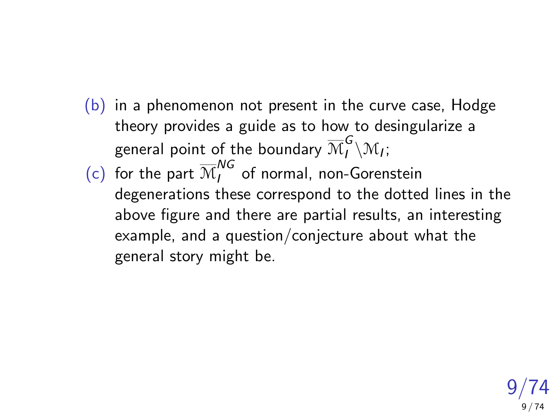- $(b)$  in a phenomenon not present in the curve case, Hodge theory provides a guide as to how to desingularize a general point of the boundary  $\overline{\mathcal{M}}^G_l\backslash \mathcal{M}_l;$
- (c) for the part  $\overline{\mathcal{M}}_{I}^{NG}$  of normal, non-Gorenstein degenerations these correspond to the dotted lines in the above figure and there are partial results, an interesting example, and a question/conjecture about what the general story might be.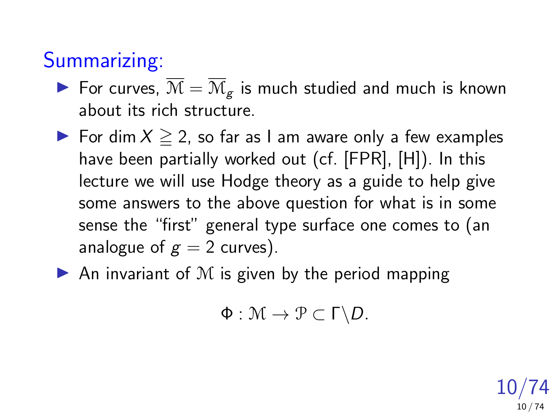## Summarizing:

- For curves,  $\overline{\mathcal{M}} = \overline{\mathcal{M}}_{g}$  is much studied and much is known about its rich structure.
- $\triangleright$  For dim  $X \geq 2$ , so far as I am aware only a few examples have been partially worked out (cf. [FPR], [H]). In this lecture we will use Hodge theory as a guide to help give some answers to the above question for what is in some sense the "first" general type surface one comes to (an analogue of  $g = 2$  curves).
- $\blacktriangleright$  An invariant of M is given by the period mapping

$$
\Phi: \mathcal{M} \to \mathcal{P} \subset \Gamma \backslash D.
$$

10/74 10 / 74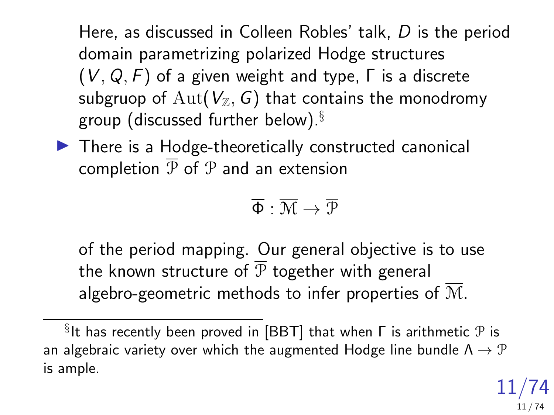Here, as discussed in Colleen Robles' talk, D is the period domain parametrizing polarized Hodge structures  $(V, Q, F)$  of a given weight and type,  $\Gamma$  is a discrete subgruop of Aut( $V_{\mathbb{Z}}$ , G) that contains the monodromy group (discussed further below).§

 $\blacktriangleright$  There is a Hodge-theoretically constructed canonical completion  $\overline{P}$  of  $P$  and an extension

$$
\overline{\Phi}:\overline{\mathcal{M}}\to\overline{\mathcal{P}}
$$

of the period mapping. Our general objective is to use the known structure of  $\overline{P}$  together with general algebro-geometric methods to infer properties of  $\overline{M}$ .

 $\S$ It has recently been proved in [BBT] that when  $\mathsf \Gamma$  is arithmetic  $\mathcal P$  is an algebraic variety over which the augmented Hodge line bundle  $\Lambda \rightarrow \mathcal{P}$ is ample.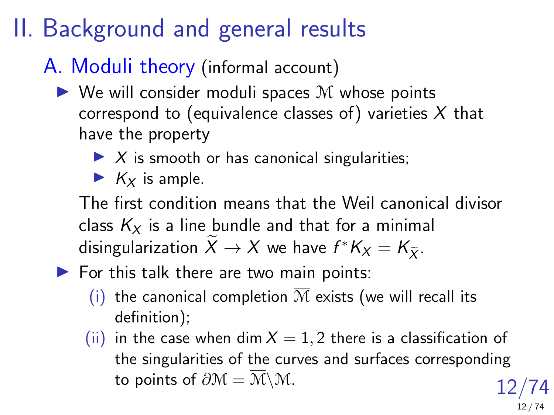# II. Background and general results

### A. Moduli theory (informal account)

- $\triangleright$  We will consider moduli spaces M whose points correspond to (equivalence classes of) varieties  $X$  that have the property
	- $\triangleright$  X is smooth or has canonical singularities;
	- $K_X$  is ample.

The first condition means that the Weil canonical divisor class  $K_x$  is a line bundle and that for a minimal disingularization  $X \to X$  we have  $f^*K_X = K_{\widetilde{X}}$ .

- $\blacktriangleright$  For this talk there are two main points:
	- (i) the canonical completion  $\overline{M}$  exists (we will recall its definition);
	- 12/74 (ii) in the case when dim  $X = 1, 2$  there is a classification of the singularities of the curves and surfaces corresponding to points of  $\partial M = \overline{M} \backslash M$ .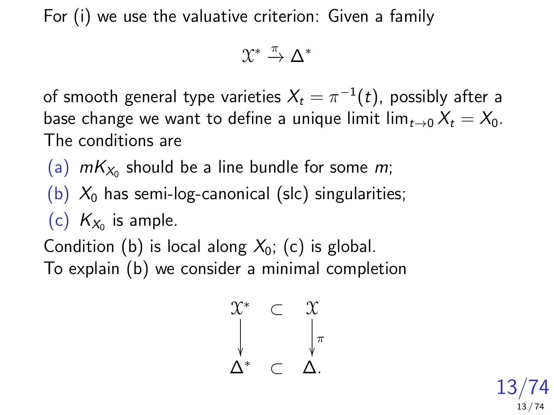For (i) we use the valuative criterion: Given a family

$$
\mathfrak{X}^* \xrightarrow{\pi} \Delta^*
$$

of smooth general type varieties  $X_t = \pi^{-1}(t)$ , possibly after a base change we want to define a unique limit lim $_{t\rightarrow 0} X_t = X_0$ . The conditions are

(a)  $mK_{X_0}$  should be a line bundle for some  $m$ ;

(b)  $X_0$  has semi-log-canonical (slc) singularities;

(c)  $K_{X_0}$  is ample.

Condition (b) is local along  $X_0$ ; (c) is global. To explain (b) we consider a minimal completion

$$
\begin{array}{ccccc}\n\chi^* & \subset & \chi \\
\downarrow & & \downarrow \pi \\
\Delta^* & \subset & \Delta.\n\end{array}
$$

13/74 13 / 74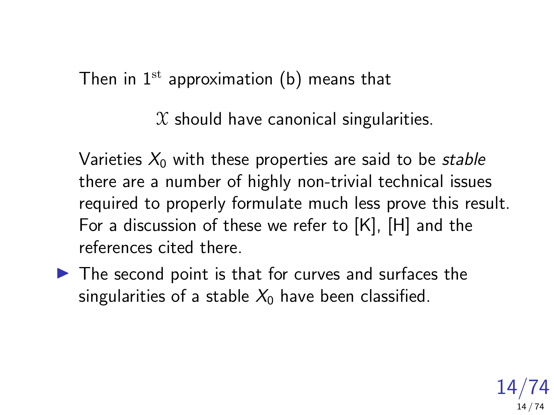Then in  $1<sup>st</sup>$  approximation (b) means that

 $X$  should have canonical singularities.

Varieties  $X_0$  with these properties are said to be stable there are a number of highly non-trivial technical issues required to properly formulate much less prove this result. For a discussion of these we refer to [K], [H] and the references cited there.

 $\blacktriangleright$  The second point is that for curves and surfaces the singularities of a stable  $X_0$  have been classified.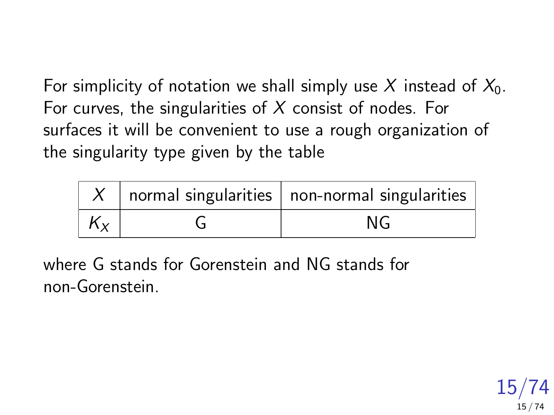For simplicity of notation we shall simply use X instead of  $X_0$ . For curves, the singularities of  $X$  consist of nodes. For surfaces it will be convenient to use a rough organization of the singularity type given by the table

|         | normal singularities   non-normal singularities |
|---------|-------------------------------------------------|
| $K_{x}$ | NG                                              |

where G stands for Gorenstein and NG stands for non-Gorenstein.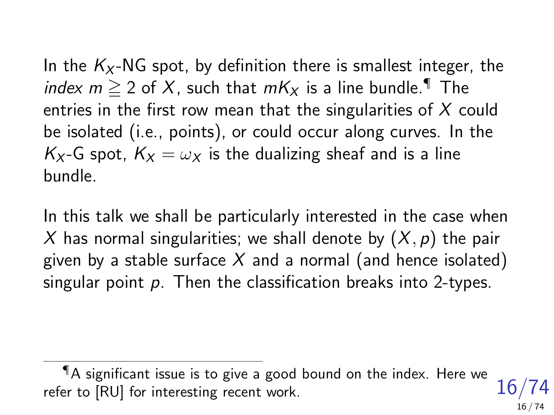In the  $K_X$ -NG spot, by definition there is smallest integer, the index  $m \ge 2$  of X, such that  $mK_X$  is a line bundle.<sup>¶</sup> The entries in the first row mean that the singularities of  $X$  could be isolated (i.e., points), or could occur along curves. In the  $K_X$ -G spot,  $K_X = \omega_X$  is the dualizing sheaf and is a line bundle.

In this talk we shall be particularly interested in the case when X has normal singularities; we shall denote by  $(X, p)$  the pair given by a stable surface  $X$  and a normal (and hence isolated) singular point  $p$ . Then the classification breaks into 2-types.

<sup>16/74</sup> ¶A significant issue is to give a good bound on the index. Here we refer to [RU] for interesting recent work.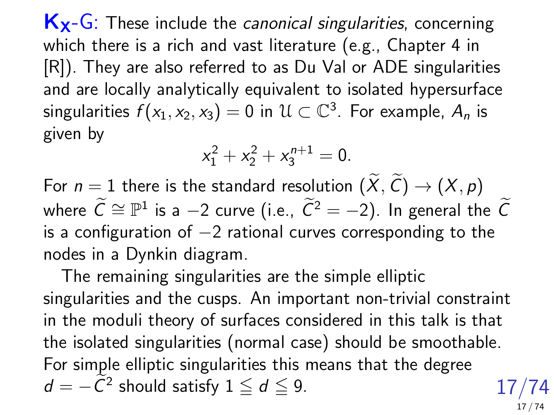$K_{X}$ -G: These include the *canonical singularities*, concerning which there is a rich and vast literature (e.g., Chapter 4 in [R]). They are also referred to as Du Val or ADE singularities and are locally analytically equivalent to isolated hypersurface singularities  $f(x_1, x_2, x_3) = 0$  in  $\mathcal{U} \subset \mathbb{C}^3$ . For example,  $A_n$  is given by

$$
x_1^2 + x_2^2 + x_3^{n+1} = 0.
$$

For  $n = 1$  there is the standard resolution  $(X, C) \rightarrow (X, p)$ where  $\widetilde{C}\cong \mathbb{P}^1$  is a  $-2$  curve (i.e.,  $\widetilde{C}^2=-2$ ). In general the  $\widetilde{C}$ is a configuration of  $-2$  rational curves corresponding to the nodes in a Dynkin diagram.

17/74 The remaining singularities are the simple elliptic singularities and the cusps. An important non-trivial constraint in the moduli theory of surfaces considered in this talk is that the isolated singularities (normal case) should be smoothable. For simple elliptic singularities this means that the degree  $d = -\widetilde{C}^2$  should satisfy  $1 \leq d \leq 9$ .

17 / 74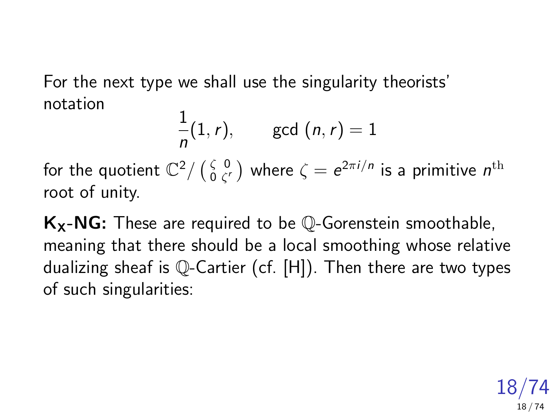For the next type we shall use the singularity theorists' notation

$$
\frac{1}{n}(1,r), \quad \gcd(n,r)=1
$$

for the quotient  $\mathbb{C}^2/\left(\begin{smallmatrix} \zeta & 0 \ 0 & \zeta' \end{smallmatrix}\right)$  $\frac{\zeta}{0}\frac{0}{\zeta'}$  where  $\zeta=e^{2\pi i/n}$  is a primitive  $n^{\rm th}$ root of unity.

 $K_X-NG$ : These are required to be  $\mathbb O$ -Gorenstein smoothable, meaning that there should be a local smoothing whose relative dualizing sheaf is Q-Cartier (cf. [H]). Then there are two types of such singularities: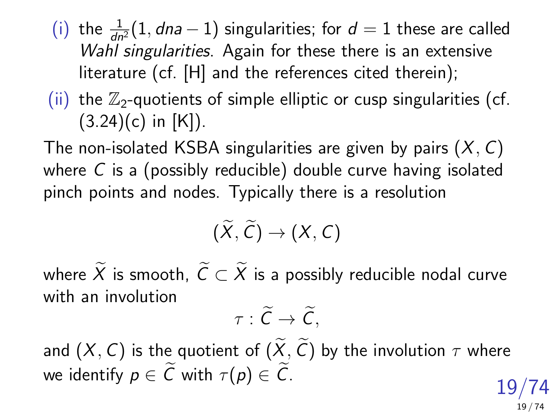- (i) the  $\frac{1}{dn^2}(1, dna 1)$  singularities; for  $d = 1$  these are called Wahl singularities. Again for these there is an extensive literature (cf. [H] and the references cited therein);
- (ii) the  $\mathbb{Z}_2$ -quotients of simple elliptic or cusp singularities (cf.  $(3.24)(c)$  in [K]).

The non-isolated KSBA singularities are given by pairs  $(X, C)$ where C is a (possibly reducible) double curve having isolated pinch points and nodes. Typically there is a resolution

$$
(\widetilde{X},\widetilde{C})\to (X,C)
$$

where  $\widetilde{X}$  is smooth,  $\widetilde{C} \subset \widetilde{X}$  is a possibly reducible nodal curve with an involution

$$
\tau:\widetilde{C}\to\widetilde{C},
$$

19/74 and  $(X, C)$  is the quotient of  $(\widetilde{X}, \widetilde{C})$  by the involution  $\tau$  where we identify  $p \in \widetilde{C}$  with  $\tau(p) \in \widetilde{C}$ .

19 / 74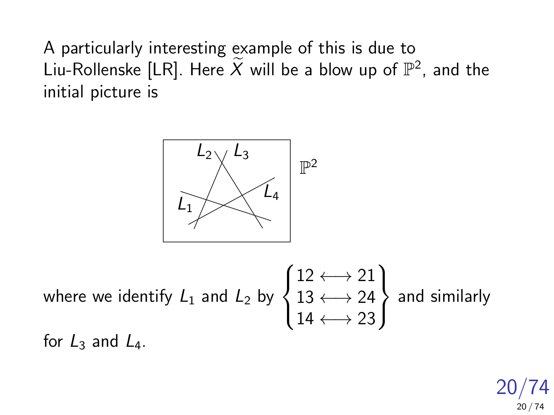A particularly interesting example of this is due to Liu-Rollenske [LR]. Here  $\widetilde{X}$  will be a blow up of  $\mathbb{P}^2$ , and the initial picture is



where we identify  ${\mathcal L}_1$  and  ${\mathcal L}_2$  by  $\sqrt{ }$  $\int$  $\mathcal{L}$  $12 \leftrightarrow 21$  $13 \leftrightarrow 24$  $14 \leftrightarrow 23$  $\mathcal{L}$  $\mathcal{L}$  $\int$ and similarly for  $L_3$  and  $L_4$ .

> 20/74 20 / 74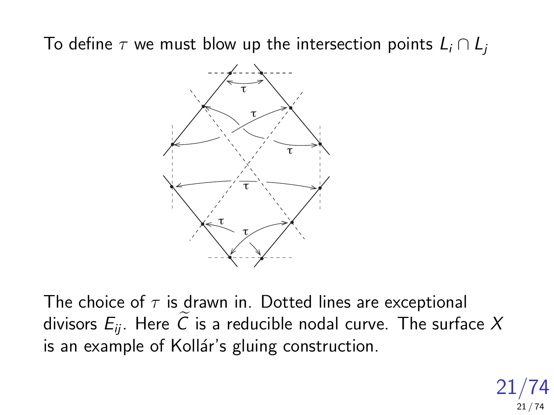To define  $\tau$  we must blow up the intersection points  $L_i \cap L_j$ 



The choice of  $\tau$  is drawn in. Dotted lines are exceptional divisors  $E_{ii}$ . Here  $\widetilde{C}$  is a reducible nodal curve. The surface X is an example of Kollár's gluing construction.

> 21/74 21 / 74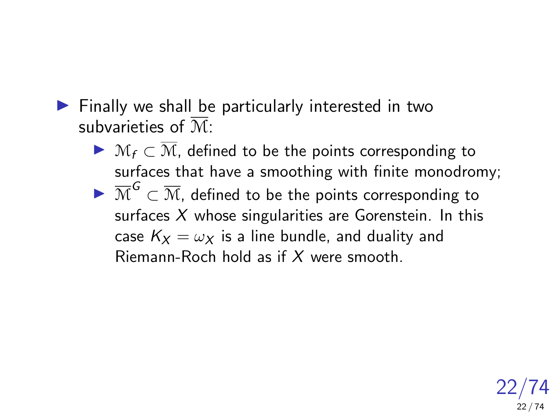- $\blacktriangleright$  Finally we shall be particularly interested in two subvarieties of M:
	- ▶  $M_f \subset \overline{M}$ , defined to be the points corresponding to surfaces that have a smoothing with finite monodromy;  $\blacktriangleright \overline{\mathcal{M}}^{\mathsf{G}} \subset \overline{\mathcal{M}}$ , defined to be the points corresponding to surfaces  $X$  whose singularities are Gorenstein. In this case  $K_X = \omega_X$  is a line bundle, and duality and Riemann-Roch hold as if X were smooth.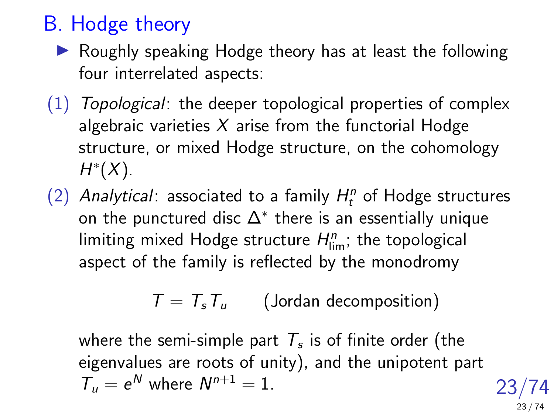## B. Hodge theory

- $\blacktriangleright$  Roughly speaking Hodge theory has at least the following four interrelated aspects:
- (1) Topological: the deeper topological properties of complex algebraic varieties  $X$  arise from the functorial Hodge structure, or mixed Hodge structure, on the cohomology  $H^*(X)$ .
- (2) Analytical: associated to a family  $H_t^n$  of Hodge structures on the punctured disc  $\Delta^*$  there is an essentially unique limiting mixed Hodge structure  $H^n_{\textrm{lim}}$ ; the topological aspect of the family is reflected by the monodromy

 $T = T_s T_u$  (Jordan decomposition)

where the semi-simple part  $\, T_{s}$  is of finite order (the eigenvalues are roots of unity), and the unipotent part  $T_u = e^N$  where  $N^{n+1} = 1$ .

23/74 23 / 74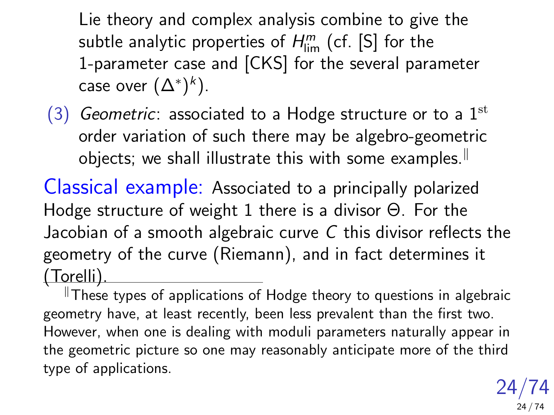Lie theory and complex analysis combine to give the subtle analytic properties of  $H_\mathrm{lim}^m$  (cf. [S] for the 1-parameter case and [CKS] for the several parameter case over  $(\Delta^*)^k).$ 

(3) Geometric: associated to a Hodge structure or to a  $1<sup>st</sup>$ order variation of such there may be algebro-geometric objects; we shall illustrate this with some examples.<sup>||</sup>

Classical example: Associated to a principally polarized Hodge structure of weight 1 there is a divisor Θ. For the Jacobian of a smooth algebraic curve C this divisor reflects the geometry of the curve (Riemann), and in fact determines it (Torelli).

 $\mathbb I$ These types of applications of Hodge theory to questions in algebraic geometry have, at least recently, been less prevalent than the first two. However, when one is dealing with moduli parameters naturally appear in the geometric picture so one may reasonably anticipate more of the third type of applications.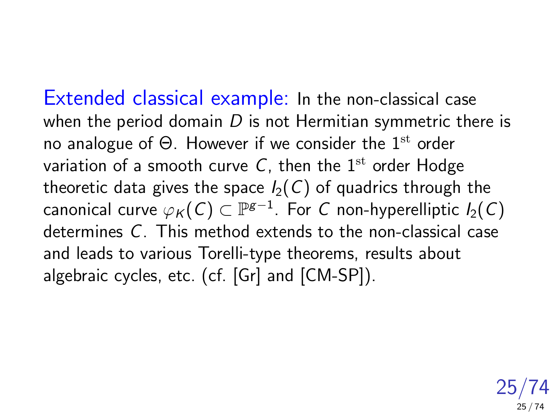Extended classical example: In the non-classical case when the period domain  $D$  is not Hermitian symmetric there is no analogue of  $\Theta$ . However if we consider the 1<sup>st</sup> order variation of a smooth curve C, then the  $1<sup>st</sup>$  order Hodge theoretic data gives the space  $I_2(C)$  of quadrics through the canonical curve  $\varphi_\mathcal{K}(\mathcal{C})\subset\mathbb{P}^{\mathsf{g}-1}.$  For  $\mathcal C$  non-hyperelliptic  $I_2(\mathcal{C})$ determines C. This method extends to the non-classical case and leads to various Torelli-type theorems, results about algebraic cycles, etc. (cf. [Gr] and [CM-SP]).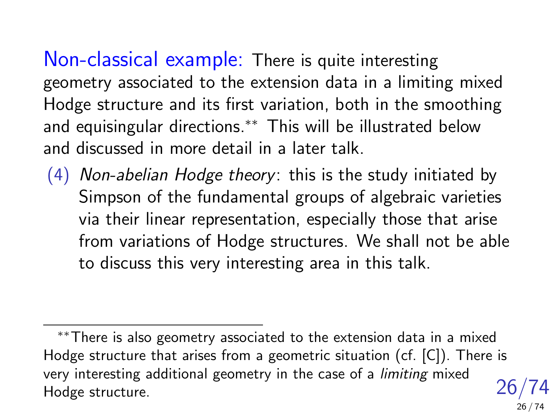Non-classical example: There is quite interesting geometry associated to the extension data in a limiting mixed Hodge structure and its first variation, both in the smoothing and equisingular directions.∗∗ This will be illustrated below and discussed in more detail in a later talk.

 $(4)$  Non-abelian Hodge theory: this is the study initiated by Simpson of the fundamental groups of algebraic varieties via their linear representation, especially those that arise from variations of Hodge structures. We shall not be able to discuss this very interesting area in this talk.

<sup>26/74</sup> ∗∗There is also geometry associated to the extension data in a mixed Hodge structure that arises from a geometric situation (cf. [C]). There is very interesting additional geometry in the case of a limiting mixed Hodge structure.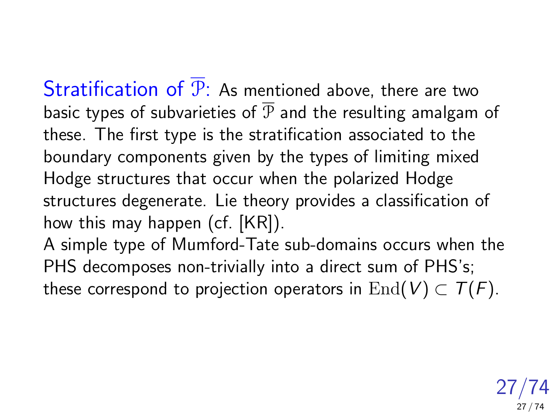Stratification of  $\overline{P}$ : As mentioned above, there are two basic types of subvarieties of  $\overline{P}$  and the resulting amalgam of these. The first type is the stratification associated to the boundary components given by the types of limiting mixed Hodge structures that occur when the polarized Hodge structures degenerate. Lie theory provides a classification of how this may happen (cf. [KR]).

A simple type of Mumford-Tate sub-domains occurs when the PHS decomposes non-trivially into a direct sum of PHS's; these correspond to projection operators in  $\text{End}(V) \subset T(F)$ .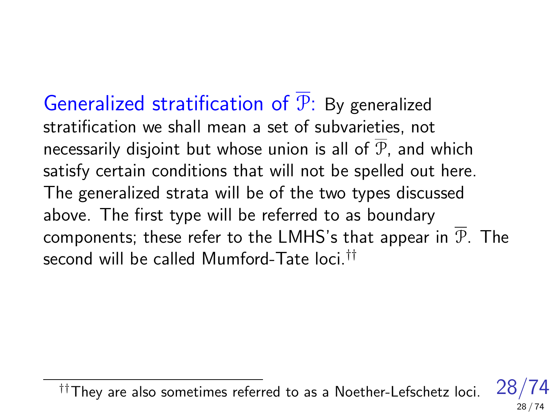Generalized stratification of P: By generalized stratification we shall mean a set of subvarieties, not necessarily disjoint but whose union is all of  $\overline{P}$ , and which satisfy certain conditions that will not be spelled out here. The generalized strata will be of the two types discussed above. The first type will be referred to as boundary components; these refer to the LMHS's that appear in  $\overline{P}$ . The second will be called Mumford-Tate loci.<sup>††</sup>

 $\dagger$ †They are also sometimes referred to as a Noether-Lefschetz loci.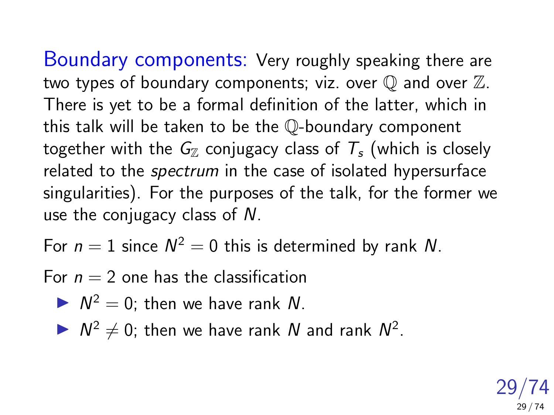Boundary components: Very roughly speaking there are two types of boundary components; viz. over  $\mathbb Q$  and over  $\mathbb Z$ . There is yet to be a formal definition of the latter, which in this talk will be taken to be the Q-boundary component together with the  $G_{\mathbb{Z}}$  conjugacy class of  $T_{s}$  (which is closely related to the *spectrum* in the case of isolated hypersurface singularities). For the purposes of the talk, for the former we use the conjugacy class of N.

For  $n = 1$  since  $N^2 = 0$  this is determined by rank N.

For  $n = 2$  one has the classification

$$
\blacktriangleright N^2 = 0
$$
; then we have rank N.

 $\triangleright N^2 \neq 0$ ; then we have rank N and rank  $N^2$ .

29/74 29 / 74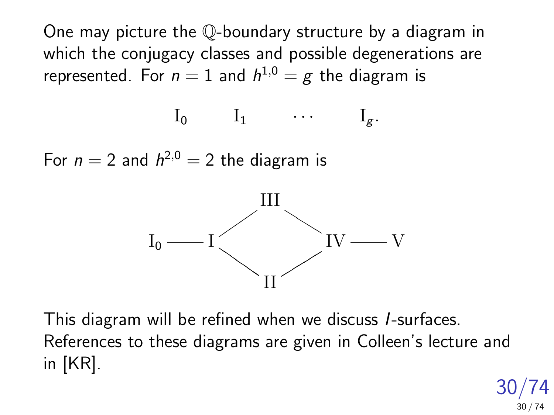One may picture the Q-boundary structure by a diagram in which the conjugacy classes and possible degenerations are represented. For  $n=1$  and  $h^{1,0}=g$  the diagram is

$$
I_0\longrightarrow I_1\longrightarrow \cdots \longrightarrow I_g.
$$

For  $n = 2$  and  $h^{2,0} = 2$  the diagram is



This diagram will be refined when we discuss I-surfaces. References to these diagrams are given in Colleen's lecture and in [KR].

> 30/74 30 / 74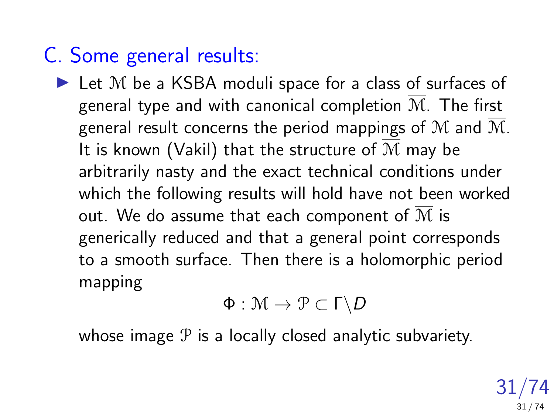### C. Some general results:

 $\blacktriangleright$  Let M be a KSBA moduli space for a class of surfaces of general type and with canonical completion  $\overline{\mathcal{M}}$ . The first general result concerns the period mappings of M and  $\overline{M}$ . It is known (Vakil) that the structure of  $\overline{\mathcal{M}}$  may be arbitrarily nasty and the exact technical conditions under which the following results will hold have not been worked out. We do assume that each component of  $\overline{M}$  is generically reduced and that a general point corresponds to a smooth surface. Then there is a holomorphic period mapping

$$
\Phi:\mathcal{M}\to\mathcal{P}\subset\Gamma\backslash D
$$

whose image  $P$  is a locally closed analytic subvariety.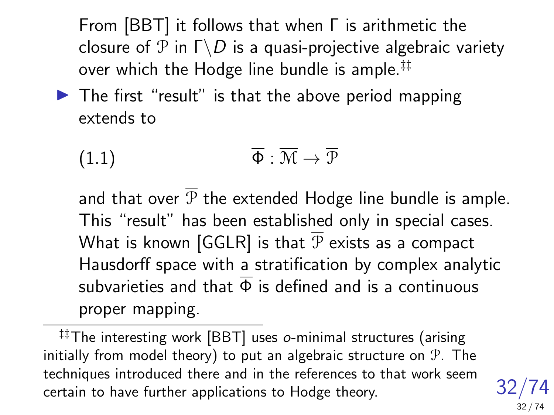From [BBT] it follows that when Γ is arithmetic the closure of  $\mathcal P$  in  $\Gamma \backslash D$  is a quasi-projective algebraic variety over which the Hodge line bundle is ample.‡‡

 $\blacktriangleright$  The first "result" is that the above period mapping extends to

$$
\overline{\Phi}: \overline{\mathcal{M}} \to \overline{\mathcal{P}}
$$

and that over  $\overline{P}$  the extended Hodge line bundle is ample. This "result" has been established only in special cases. What is known [GGLR] is that  $\overline{P}$  exists as a compact Hausdorff space with a stratification by complex analytic subvarieties and that  $\overline{\Phi}$  is defined and is a continuous proper mapping.

‡‡The interesting work [BBT] uses o-minimal structures (arising initially from model theory) to put an algebraic structure on P. The techniques introduced there and in the references to that work seem certain to have further applications to Hodge theory.

32/74 32 / 74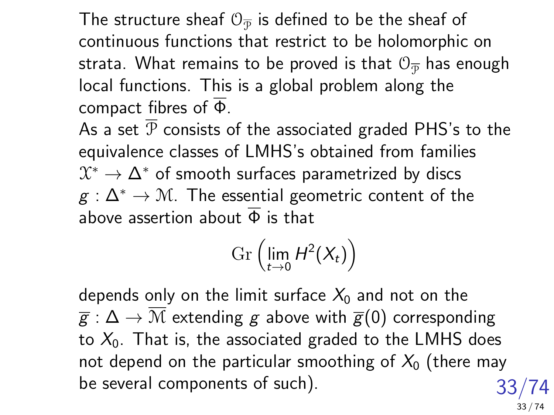The structure sheaf  $\mathbb{O}_{\overline{\mathcal{P}}}$  is defined to be the sheaf of continuous functions that restrict to be holomorphic on strata. What remains to be proved is that  $0_{\overline{\mathcal{P}}}$  has enough local functions. This is a global problem along the compact fibres of  $\overline{\Phi}$ .

As a set  $\overline{P}$  consists of the associated graded PHS's to the equivalence classes of LMHS's obtained from families  $\mathfrak{X}^*\to \Delta^*$  of smooth surfaces parametrized by discs  $g : \Delta^* \to \mathcal{M}$ . The essential geometric content of the above assertion about  $\overline{\Phi}$  is that

$$
\operatorname{Gr}\left(\lim_{t\to 0}H^2(X_t)\right)
$$

33/74 depends only on the limit surface  $X_0$  and not on the  $\overline{g}: \Delta \to \mathcal{M}$  extending g above with  $\overline{g}(0)$  corresponding to  $X_0$ . That is, the associated graded to the LMHS does not depend on the particular smoothing of  $X_0$  (there may be several components of such).

33 / 74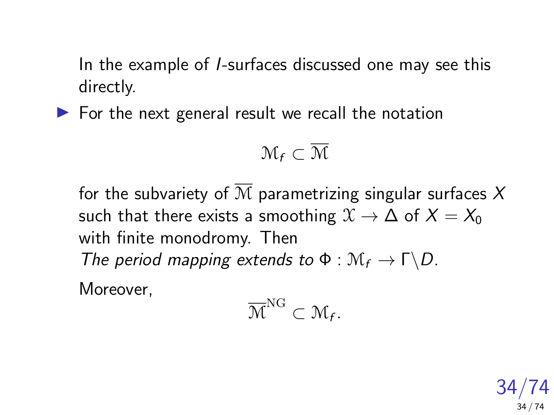In the example of I-surfaces discussed one may see this directly.

 $\triangleright$  For the next general result we recall the notation

$$
\mathfrak{M}_f\subset\overline{\mathfrak{M}}
$$

for the subvariety of  $\overline{M}$  parametrizing singular surfaces X such that there exists a smoothing  $\mathfrak{X} \to \Delta$  of  $X = X_0$ with finite monodromy. Then The period mapping extends to  $\Phi : \mathcal{M}_f \to \Gamma \backslash D$ . Moreover,

$$
\overline{\mathcal{M}}^{\mathrm{NG}}\subset \mathcal{M}_f.
$$

34/74 34 / 74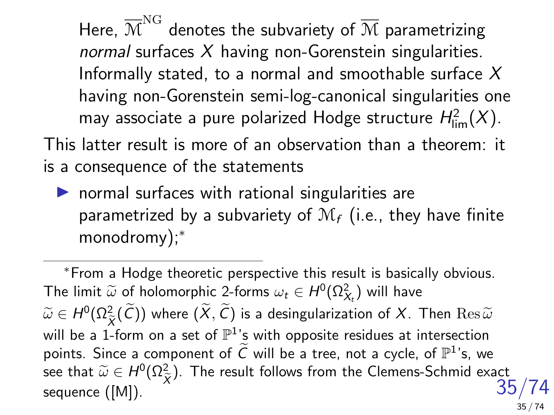Here,  ${\overline{\mathbb{M}}^{\text{NG}}}$  denotes the subvariety of  ${\overline{\mathbb{M}}}$  parametrizing normal surfaces  $X$  having non-Gorenstein singularities. Informally stated, to a normal and smoothable surface  $X$ having non-Gorenstein semi-log-canonical singularities one may associate a pure polarized Hodge structure  $H^2_{\text{lim}}(X)$ .

This latter result is more of an observation than a theorem: it is a consequence of the statements

 $\blacktriangleright$  normal surfaces with rational singularities are parametrized by a subvariety of  $\mathcal{M}_f$  (i.e., they have finite monodromy);<sup>\*</sup>

35/74 <sup>∗</sup>From a Hodge theoretic perspective this result is basically obvious. The limit  $\widetilde{\omega}$  of holomorphic 2-forms  $\omega_t \in H^0(\Omega^2_{X_t})$  will have  $\widetilde{\omega}\in H^0(\Omega^2_{\widetilde{X}}(\widetilde{\mathcal{C}}))$  where  $(X,\widetilde{\mathcal{C}})$  is a desingularization of  $X$ . Then  $\mathrm{Res}\,\widetilde{\omega}$  $\sum_{X}$  and  $\sum_{X}$  and  $\sum$  of  $\sum$  is a sumplimental of  $\sum$  intersection will be a 1-form on a set of  $\mathbb{P}^1$ 's with opposite residues at intersection points. Since a component of  $\widetilde{C}$  will be a tree, not a cycle, of  $\mathbb{P}^1$ 's, we see that  $\widetilde{\omega} \in H^0(\Omega^2_{\widetilde{X}})$ . The result follows from the Clemens-Schmid exact sequence ([M]). 35 / 74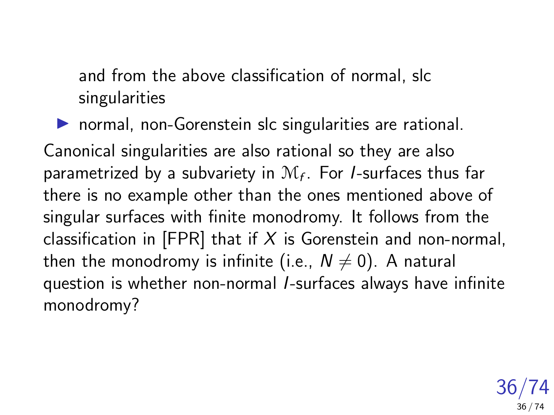and from the above classification of normal, slc singularities

 $\triangleright$  normal, non-Gorenstein slc singularities are rational. Canonical singularities are also rational so they are also parametrized by a subvariety in  $\mathcal{M}_f$ . For *I*-surfaces thus far there is no example other than the ones mentioned above of singular surfaces with finite monodromy. It follows from the classification in [FPR] that if  $X$  is Gorenstein and non-normal, then the monodromy is infinite (i.e.,  $N \neq 0$ ). A natural question is whether non-normal I-surfaces always have infinite monodromy?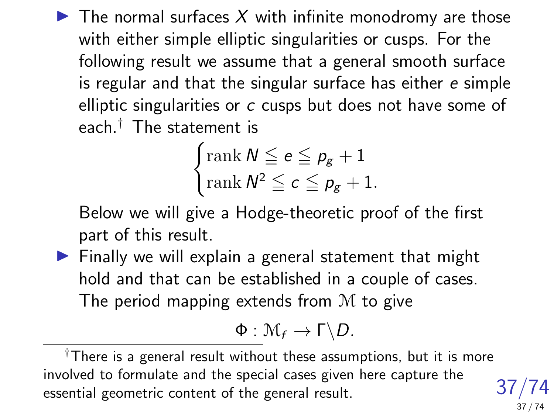$\blacktriangleright$  The normal surfaces X with infinite monodromy are those with either simple elliptic singularities or cusps. For the following result we assume that a general smooth surface is regular and that the singular surface has either e simple elliptic singularities or c cusps but does not have some of each  $<sup>†</sup>$  The statement is</sup>

$$
\begin{cases} \text{rank } \mathsf{N} \leq e \leq p_g + 1 \\ \text{rank } \mathsf{N}^2 \leq c \leq p_g + 1. \end{cases}
$$

Below we will give a Hodge-theoretic proof of the first part of this result.

 $\blacktriangleright$  Finally we will explain a general statement that might hold and that can be established in a couple of cases. The period mapping extends from M to give

$$
\Phi: \mathcal{M}_f \to \Gamma \backslash D.
$$

37/74

37 / 74

†There is a general result without these assumptions, but it is more involved to formulate and the special cases given here capture the essential geometric content of the general result.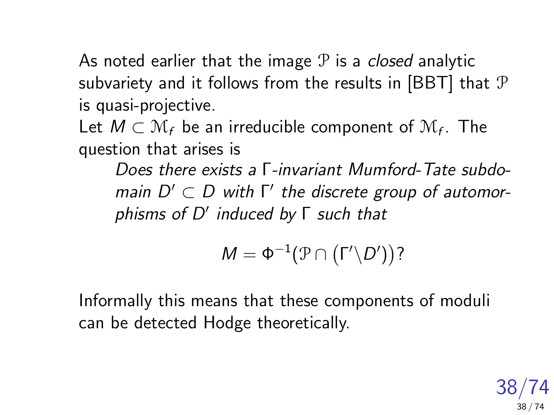As noted earlier that the image  $P$  is a *closed* analytic subvariety and it follows from the results in [BBT] that P is quasi-projective.

Let  $M\subset \mathcal{M}_f$  be an irreducible component of  $\mathcal{M}_f$ . The question that arises is

Does there exists a Γ-invariant Mumford-Tate subdomain  $D' \subset D$  with  $\Gamma'$  the discrete group of automorphisms of D' induced by Γ such that

$$
M=\Phi^{-1}(\mathcal{P}\cap\left(\Gamma'\backslash D'\right))?
$$

Informally this means that these components of moduli can be detected Hodge theoretically.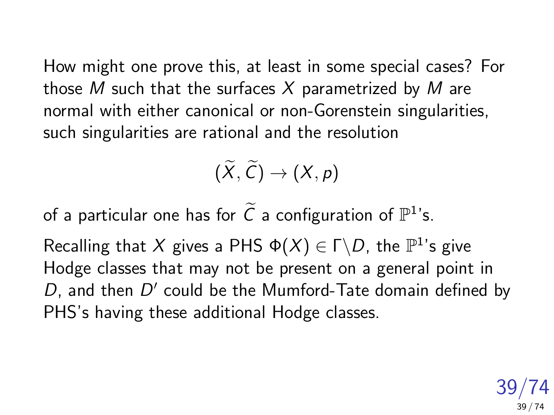How might one prove this, at least in some special cases? For those M such that the surfaces X parametrized by M are normal with either canonical or non-Gorenstein singularities, such singularities are rational and the resolution

$$
(\widetilde{X},\widetilde{C})\to (X,p)
$$

of a particular one has for  $\widetilde{C}$  a configuration of  $\mathbb{P}^1$ 's.

Recalling that X gives a PHS  $\Phi(X) \in \Gamma \backslash D$ , the  $\mathbb{P}^1$ 's give Hodge classes that may not be present on a general point in  $D$ , and then  $D'$  could be the Mumford-Tate domain defined by PHS's having these additional Hodge classes.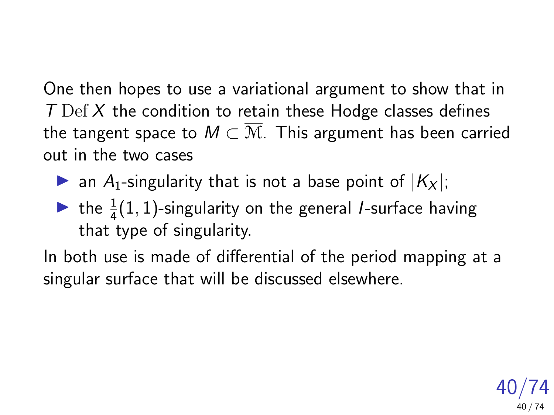One then hopes to use a variational argument to show that in  $T$  Def  $X$  the condition to retain these Hodge classes defines the tangent space to  $M \subset \overline{M}$ . This argument has been carried out in the two cases

- ightharpoonup an A<sub>1</sub>-singularity that is not a base point of  $|K_x|$ ;
- ightharpoonularity on the general *I*-surface having that type of singularity.

In both use is made of differential of the period mapping at a singular surface that will be discussed elsewhere.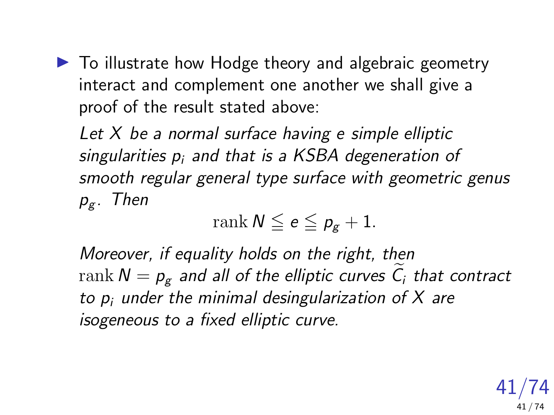$\blacktriangleright$  To illustrate how Hodge theory and algebraic geometry interact and complement one another we shall give a proof of the result stated above:

Let  $X$  be a normal surface having e simple elliptic singularities  $p_i$  and that is a KSBA degeneration of smooth regular general type surface with geometric genus  $p_g$ . Then

$$
\operatorname{rank} N \leqq e \leqq p_g+1.
$$

Moreover, if equality holds on the right, then rank  $N = p_g$  and all of the elliptic curves  $\tilde{C}_i$  that contract to  $p_i$  under the minimal desingularization of  $X$  are isogeneous to a fixed elliptic curve.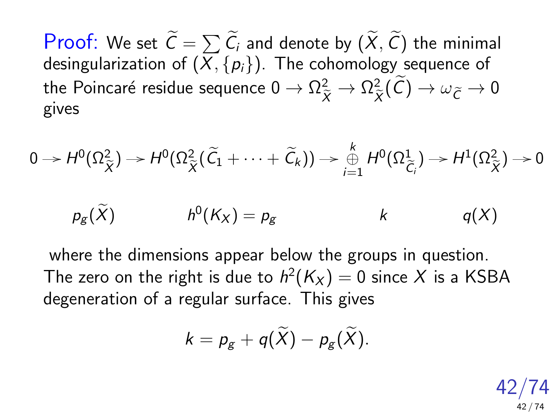**Proof:** We set  $C = \sum_{i=1}^{n} C_i$  and denote by  $(X, C)$  the minimal desingularization of  $(X, \{p_i\})$ . The cohomology sequence of the Poincaré residue sequence  $0 \to \Omega_{\widetilde{X}}^2 \to \Omega_{\widetilde{X}}^2$  $\chi^2_{\widetilde{X}}(\mathcal{C}) \to \omega_{\widetilde{\mathcal{C}}} \to 0$ gives

$$
0 \to H^0(\Omega_{\widetilde{X}}^2) \to H^0(\Omega_{\widetilde{X}}^2(\widetilde{C}_1 + \cdots + \widetilde{C}_k)) \to \bigoplus_{i=1}^k H^0(\Omega_{\widetilde{C}_i}^1) \to H^1(\Omega_{\widetilde{X}}^2) \to 0
$$

$$
p_g(\widetilde{X}) \hspace{1cm} h^0(K_X) = p_g \hspace{1cm} k \hspace{1cm} q(X)
$$

where the dimensions appear below the groups in question. The zero on the right is due to  $h^2(K_X)=0$  since  $X$  is a <code>KSBA</code> degeneration of a regular surface. This gives

$$
k=p_g+q(\widetilde{X})-p_g(\widetilde{X}).
$$

42/74 42 / 74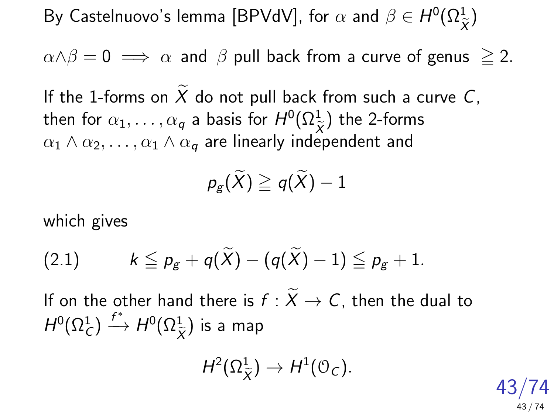By Castelnuovo's lemma [BPVdV], for  $\alpha$  and  $\beta \in H^0(\Omega^1_\mathfrak{S})$  $\chi$ )

 $\alpha \wedge \beta = 0 \implies \alpha$  and  $\beta$  pull back from a curve of genus  $\geq 2$ .

If the 1-forms on  $\widetilde{X}$  do not pull back from such a curve C, then for  $\alpha_1,\ldots,\alpha_q$  a basis for  $H^0(\Omega_{\widetilde X}^1)$  the 2-forms  $\alpha_1 \wedge \alpha_2, \ldots, \alpha_1 \wedge \alpha_q$  are linearly independent and

 $p_{\sigma}(\widetilde{X}) \geq q(\widetilde{X}) - 1$ 

which gives

<span id="page-42-0"></span>
$$
(2.1) \qquad k \leqq p_{g} + q(\widetilde{X}) - (q(\widetilde{X}) - 1) \leqq p_{g} + 1.
$$

If on the other hand there is  $f : \widetilde{X} \to C$ , then the dual to  $H^0(\Omega^1_C)\stackrel{f^*}{\longrightarrow} H^0(\Omega^1_{\tilde\lambda})$  $\chi$ ) is a map

$$
H^2(\Omega^1_{\widetilde{X}})\to H^1(\mathbb{O}_C).
$$

43/74 43 / 74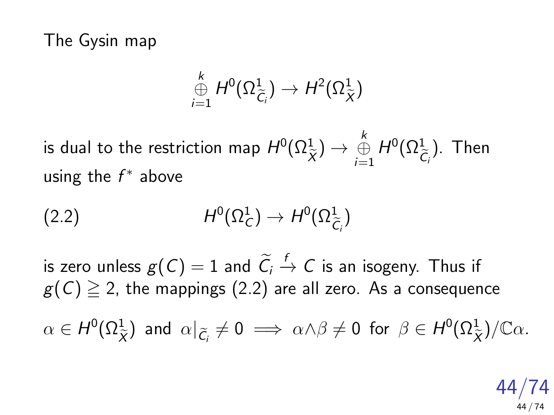The Gysin map

<span id="page-43-0"></span>
$$
\mathop\oplus_{i=1}^k H^0(\Omega^1_{\widetilde{C}_i}) \to H^2(\Omega^1_{\widetilde{X}})
$$

is dual to the restriction map  $H^0(\Omega^1_\mathfrak{D})$  $\chi$  $)\rightarrow\mathop{\oplus}\limits_{i=1}^k H^0(\Omega^1_{\tilde{\mathcal{C}}})$  $\mathcal{C}_{\mathfrak{q}}$ ). Then using the  $f^*$  above

$$
(2.2) \tH^0(\Omega^1_C) \to H^0(\Omega^1_{\widetilde{C}_i})
$$

is zero unless  $g(C) = 1$  and  $\widetilde{C}_i \stackrel{f}{\rightarrow} C$  is an isogeny. Thus if  $g(C) \geq 2$ , the mappings [\(2.2\)](#page-43-0) are all zero. As a consequence  $\alpha \in H^0(\Omega_{\widetilde{X}}^1)$  and  $\alpha|_{\widetilde{C}_i} \neq 0 \implies \alpha \wedge \beta \neq 0$  for  $\beta \in H^0(\Omega_{\widetilde{X}}^1)/\mathbb{C}\alpha$ .

> 44/74 44 / 74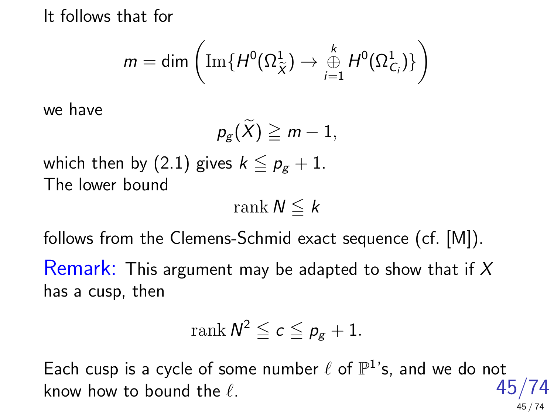It follows that for

$$
m=\text{dim}\left(\text{Im}\{H^0(\Omega^1_{\widetilde{X}})\rightarrow \overset{k}{\underset{i=1}{\oplus}}H^0(\Omega^1_{C_i})\}\right)
$$

we have

$$
p_{g}(\widetilde{X})\geqq m-1,
$$

which then by [\(2.1\)](#page-42-0) gives  $k \leq p_g + 1$ . The lower bound

rank  $N \leq k$ 

follows from the Clemens-Schmid exact sequence (cf. [M]). Remark: This argument may be adapted to show that if  $X$ has a cusp, then

$$
\operatorname{rank} N^2\leqq c\leqq \rho_g+1.
$$

45/74 Each cusp is a cycle of some number  $\ell$  of  $\mathbb{P}^1$ 's, and we do not know how to bound the  $\ell$ . 45 / 74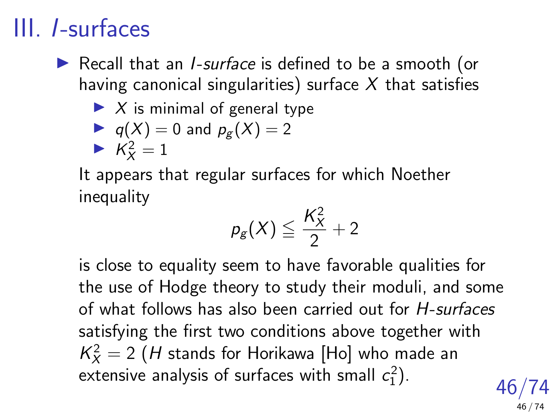## III. I-surfaces

 $\triangleright$  Recall that an *I-surface* is defined to be a smooth (or having canonical singularities) surface  $X$  that satisfies

## $\blacktriangleright$  X is minimal of general type

$$
\blacktriangleright
$$
 q(X) = 0 and p<sub>g</sub>(X) = 2

$$
\blacktriangleright \overrightarrow{K_X^2} = 1
$$

It appears that regular surfaces for which Noether inequality

$$
p_g(X) \leqq \frac{K_X^2}{2} + 2
$$

is close to equality seem to have favorable qualities for the use of Hodge theory to study their moduli, and some of what follows has also been carried out for H-surfaces satisfying the first two conditions above together with  $\mathcal{K}_X^2=2$   $(H$  stands for Horikawa [Ho] who made an extensive analysis of surfaces with small  $c_1^2$ ).

46/74 46 / 74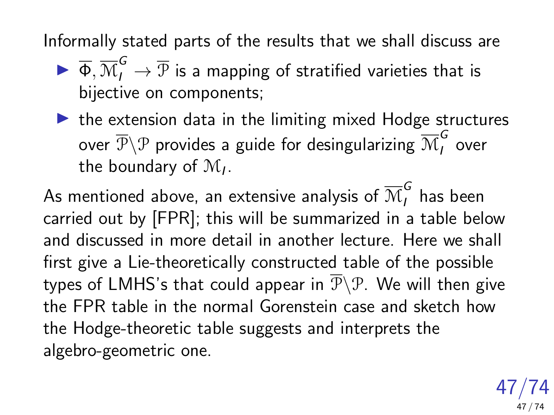Informally stated parts of the results that we shall discuss are

- $\blacktriangleright \overline{\Phi}, \overline{\mathcal{M}}^G_I \to \overline{\mathcal{P}}$  is a mapping of stratified varieties that is bijective on components;
- $\blacktriangleright$  the extension data in the limiting mixed Hodge structures over  $\overline{\mathcal{P}}\backslash\mathcal{P}$  provides a guide for desingularizing  $\overline{\mathcal{M}}^G_I$  $\sum_{l}$  over the boundary of  $\mathcal{M}_I$ .

As mentioned above, an extensive analysis of  $\overline{\mathcal{M}}^{\mathcal{G}}_I$  has been carried out by [FPR]; this will be summarized in a table below and discussed in more detail in another lecture. Here we shall first give a Lie-theoretically constructed table of the possible types of LMHS's that could appear in  $\overline{\mathcal{P}}\backslash\mathcal{P}$ . We will then give the FPR table in the normal Gorenstein case and sketch how the Hodge-theoretic table suggests and interprets the algebro-geometric one.

> 47/74 47 / 74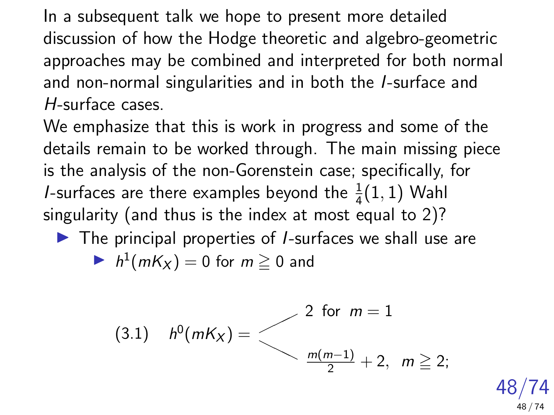In a subsequent talk we hope to present more detailed discussion of how the Hodge theoretic and algebro-geometric approaches may be combined and interpreted for both normal and non-normal singularities and in both the I-surface and H-surface cases.

We emphasize that this is work in progress and some of the details remain to be worked through. The main missing piece is the analysis of the non-Gorenstein case; specifically, for *I*-surfaces are there examples beyond the  $\frac{1}{4}(1,1)$  Wahl singularity (and thus is the index at most equal to 2)?

 $\blacktriangleright$  The principal properties of *I*-surfaces we shall use are

$$
\blacktriangleright h^1(mK_X) = 0 \text{ for } m \ge 0 \text{ and}
$$

<span id="page-47-0"></span>(3.1) 
$$
h^0(mK_X) =
$$
  

$$
\begin{cases} 2 \text{ for } m = 1 \\ \frac{m(m-1)}{2} + 2, \ m \geq 2; \end{cases}
$$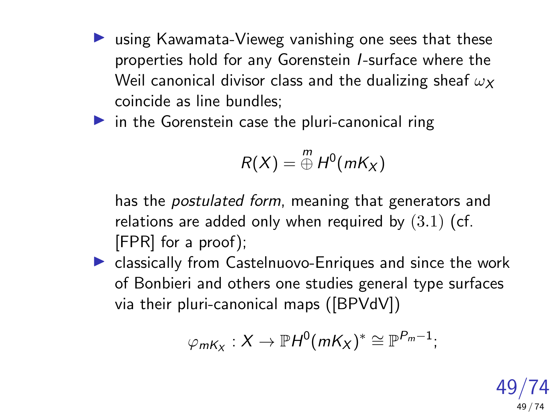$\blacktriangleright$  using Kawamata-Vieweg vanishing one sees that these properties hold for any Gorenstein I-surface where the Weil canonical divisor class and the dualizing sheaf  $\omega_X$ coincide as line bundles;

 $\triangleright$  in the Gorenstein case the pluri-canonical ring

$$
R(X) = \bigoplus^m H^0(mK_X)
$$

has the *postulated form*, meaning that generators and relations are added only when required by  $(3.1)$  (cf. [FPR] for a proof);

 $\blacktriangleright$  classically from Castelnuovo-Enriques and since the work of Bonbieri and others one studies general type surfaces via their pluri-canonical maps ([BPVdV])

$$
\varphi_{mK_X}:X\to \mathbb{P}H^0(mK_X)^*\cong \mathbb{P}^{P_m-1};
$$

49/74 49 / 74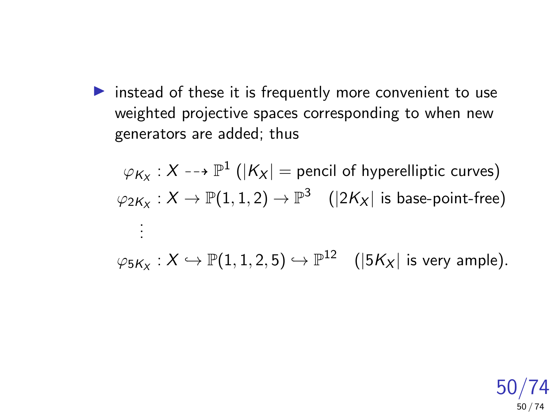$\triangleright$  instead of these it is frequently more convenient to use weighted projective spaces corresponding to when new generators are added; thus

 $\varphi_{\mathsf{K}_\mathsf{X}} : \mathsf{X} \dashrightarrow \mathbb{P}^1$   $(|\mathsf{K}_\mathsf{X}| =$  pencil of hyperelliptic curves)  $\varphi_{2\mathcal{K}_\mathcal{X}}:\mathcal{X}\to\mathbb{P}(1,1,2)\to\mathbb{P}^3\quad (|2\mathcal{K}_\mathcal{X}|$  is base-point-free) . . .

 $\varphi_{5K_X}:X\hookrightarrow \mathbb{P}(1,1,2,5)\hookrightarrow \mathbb{P}^{12} \quad (|5K_X| \text{ is very ample}).$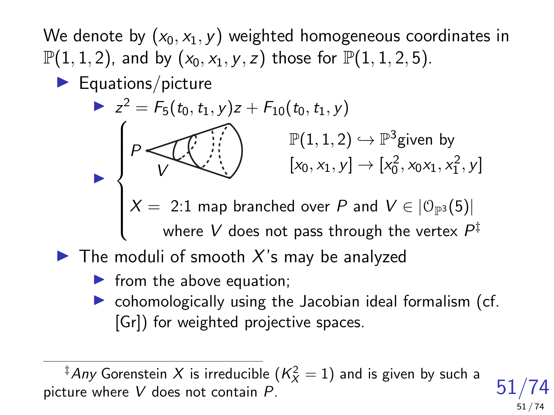We denote by  $(x_0, x_1, y)$  weighted homogeneous coordinates in  $\mathbb{P}(1, 1, 2)$ , and by  $(x_0, x_1, y, z)$  those for  $\mathbb{P}(1, 1, 2, 5)$ .

 $\blacktriangleright$  Equations/picture

$$
z^{2} = F_{5}(t_{0}, t_{1}, y)z + F_{10}(t_{0}, t_{1}, y)
$$
\n
$$
P \left\{\n \begin{array}{c}\n \begin{array}{c}\n \downarrow \\
\downarrow \\
\downarrow\n \end{array}\n \end{array}\n \right\} \xrightarrow{\mathbb{P}(1, 1, 2) \leftrightarrow \mathbb{P}^{3} \text{given by} \\
[x_{0}, x_{1}, y] \rightarrow [x_{0}^{2}, x_{0}x_{1}, x_{1}^{2}, y] \\
X = 2:1 \text{ map branched over } P \text{ and } V \in [0_{\mathbb{P}^{3}}(5)] \\
\text{where } V \text{ does not pass through the vertex } P^{\ddagger}\n \end{array}
$$

- $\blacktriangleright$  The moduli of smooth X's may be analyzed
	- $\blacktriangleright$  from the above equation;
	- $\triangleright$  cohomologically using the Jacobian ideal formalism (cf. [Gr]) for weighted projective spaces.

 $^\ddag$ Any Gorenstein  $X$  is irreducible  $(\mathcal{K}_X^2=1)$  and is given by such a picture where V does not contain P.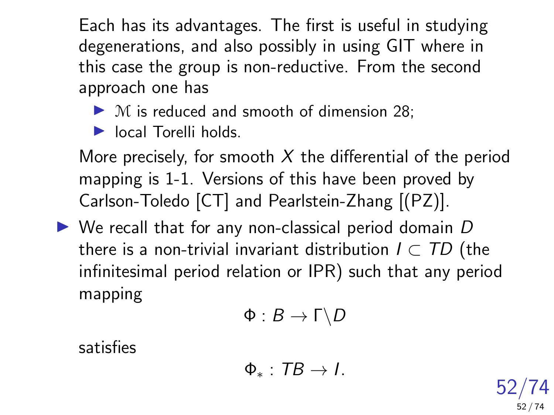Each has its advantages. The first is useful in studying degenerations, and also possibly in using GIT where in this case the group is non-reductive. From the second approach one has

 $\triangleright$  M is reduced and smooth of dimension 28;

 $\blacktriangleright$  local Torelli holds.

More precisely, for smooth  $X$  the differential of the period mapping is 1-1. Versions of this have been proved by Carlson-Toledo [CT] and Pearlstein-Zhang [(PZ)].

 $\triangleright$  We recall that for any non-classical period domain D there is a non-trivial invariant distribution  $I \subset TD$  (the infinitesimal period relation or IPR) such that any period mapping

$$
\Phi:B\to \Gamma\backslash D
$$

satisfies

$$
\Phi_*: \, TB \to I.
$$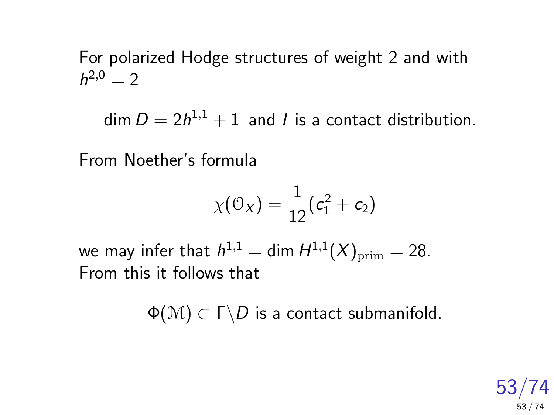For polarized Hodge structures of weight 2 and with  $h^{2,0}=2$ 

 $\dim D = 2h^{1,1}+1$  and l is a contact distribution.

From Noether's formula

$$
\chi(\mathcal{O}_X)=\frac{1}{12}(c_1^2+c_2)
$$

we may infer that  $h^{1,1} = \dim H^{1,1}(X)_{\rm prim} = 28.$ From this it follows that

 $\Phi(\mathcal{M}) \subset \Gamma \backslash D$  is a contact submanifold.

53/74 53 / 74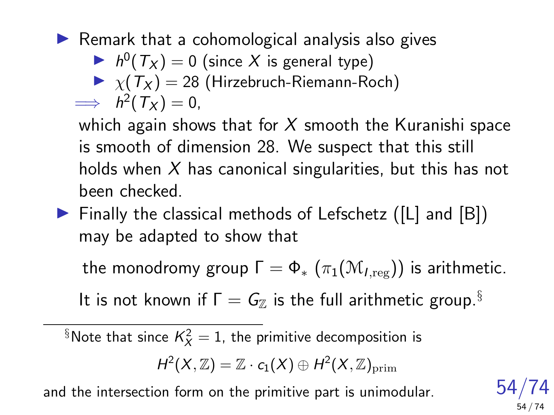$\blacktriangleright$  Remark that a cohomological analysis also gives

- $h^0(T_X) = 0$  (since X is general type)
- $\blacktriangleright \chi(T_X) = 28$  (Hirzebruch-Riemann-Roch)

$$
\implies h^2(T_X)=0,
$$

which again shows that for  $X$  smooth the Kuranishi space is smooth of dimension 28. We suspect that this still holds when  $X$  has canonical singularities, but this has not been checked.

 $\triangleright$  Finally the classical methods of Lefschetz ([L] and [B]) may be adapted to show that

the monodromy group  $\Gamma = \Phi_* (\pi_1(\mathcal{M}_{tree}))$  is arithmetic.

It is not known if  $\Gamma = G_{\mathbb{Z}}$  is the full arithmetic group.<sup>§</sup>

 $\S$ Note that since  $\mathcal{K}_\mathcal{X}^2=1$ , the primitive decomposition is

 $H^2(X,\mathbb{Z})=\mathbb{Z}\cdot c_1(X)\oplus H^2(X,\mathbb{Z})_{\mathrm{prim}}$ 

and the intersection form on the primitive part is unimodular.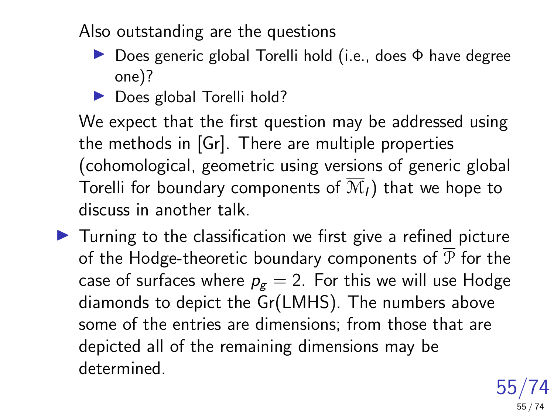Also outstanding are the questions

- **Does generic global Torelli hold (i.e., does Φ have degree** one)?
- $\triangleright$  Does global Torelli hold?

We expect that the first question may be addressed using the methods in [Gr]. There are multiple properties (cohomological, geometric using versions of generic global Torelli for boundary components of  $\overline{\mathcal{M}}_l$ ) that we hope to discuss in another talk.

 $\blacktriangleright$  Turning to the classification we first give a refined picture of the Hodge-theoretic boundary components of  $\overline{P}$  for the case of surfaces where  $p_g = 2$ . For this we will use Hodge diamonds to depict the Gr(LMHS). The numbers above some of the entries are dimensions; from those that are depicted all of the remaining dimensions may be determined.

> 55/74 55 / 74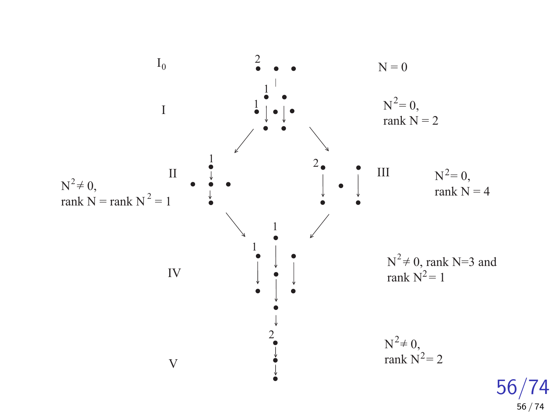

56 / 74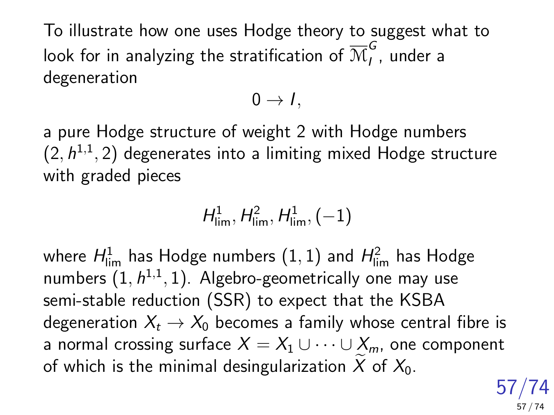To illustrate how one uses Hodge theory to suggest what to look for in analyzing the stratification of  $\overline{\mathcal{M}}^G_I$  $\tilde{I}$ , under a degeneration

$$
0\rightarrow I,\,
$$

a pure Hodge structure of weight 2 with Hodge numbers  $(2,h^{1,1},2)$  degenerates into a limiting mixed Hodge structure with graded pieces

$$
H^1_{\lim}, H^2_{\lim}, H^1_{\lim}, (-1)
$$

where  $H^1_{\sf lim}$  has Hodge numbers  $(1,1)$  and  $H^2_{\sf lim}$  has Hodge numbers  $(1,h^{1,1},1)$ . Algebro-geometrically one may use semi-stable reduction (SSR) to expect that the KSBA degeneration  $X_t \to X_0$  becomes a family whose central fibre is a normal crossing surface  $X = X_1 \cup \cdots \cup X_m$ , one component of which is the minimal desingularization X of  $X_0$ .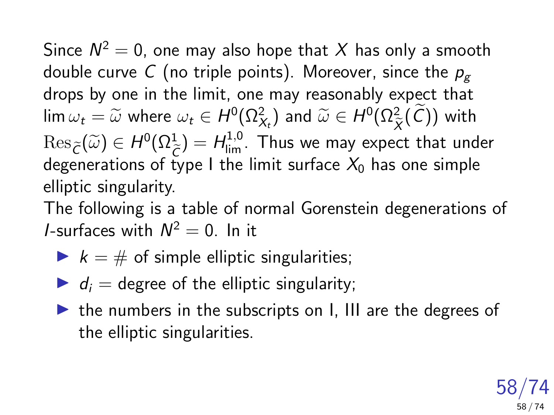Since  $\mathcal{N}^2=0$ , one may also hope that  $X$  has only a smooth double curve C (no triple points). Moreover, since the  $p<sub>g</sub>$ drops by one in the limit, one may reasonably expect that  $\lim \omega_t = \widetilde{\omega}$  where  $\omega_t \in H^0(\Omega^2_{\chi_t})$  and  $\widetilde{\omega} \in H^0(\Omega^2_{\widetilde{X}}(\mathcal{C}))$  with  $\chi$  $\text{Res}_{\widetilde{C}}(\widetilde{\omega}) \in H^0(\Omega^1_{\widetilde{C}}) = H^{1,0}_{\lim}$ . Thus we may expect that under<br>degenerations of type I the limit surface  $X_t$  has one simple degenerations of type I the limit surface  $X_0$  has one simple elliptic singularity.

The following is a table of normal Gorenstein degenerations of *I*-surfaces with  $N^2 = 0$ . In it

- $\blacktriangleright$   $k = #$  of simple elliptic singularities;
- $\blacktriangleright$  d<sub>i</sub> = degree of the elliptic singularity;
- $\triangleright$  the numbers in the subscripts on I, III are the degrees of the elliptic singularities.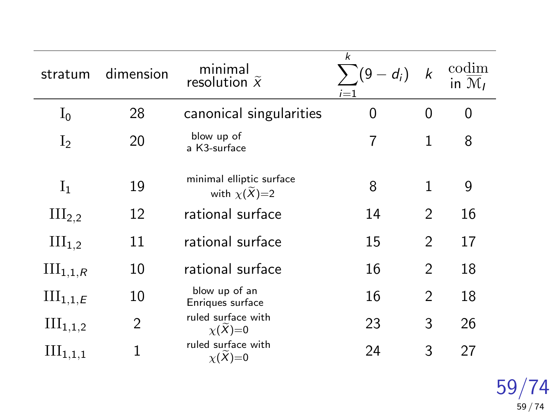| stratum              | dimension      | minimal<br>resolution $\tilde{x}$            | k<br>$d_i)$<br>(9)<br>$i=1$ | k              | codim<br>in $\mathcal{M}_I$ |
|----------------------|----------------|----------------------------------------------|-----------------------------|----------------|-----------------------------|
| $I_0$                | 28             | canonical singularities                      | 0                           | 0              | 0                           |
| I <sub>2</sub>       | 20             | blow up of<br>a K3-surface                   | 7                           | $\mathbf{1}$   | 8                           |
| $I_1$                | 19             | minimal elliptic surface<br>with $\chi(X)=2$ | 8                           | 1              | 9                           |
| III <sub>2,2</sub>   | 12             | rational surface                             | 14                          | $\mathfrak{D}$ | 16                          |
| III <sub>1,2</sub>   | 11             | rational surface                             | 15                          | $\mathfrak{D}$ | 17                          |
| $III_{1,1,R}$        | 10             | rational surface                             | 16                          | $\overline{2}$ | 18                          |
| $III_{1,1,E}$        | 10             | blow up of an<br>Enriques surface            | 16                          | $\mathfrak{D}$ | 18                          |
| $III_{1,1,2}$        | $\overline{2}$ | ruled surface with<br>$\chi(X)=0$            | 23                          | 3              | 26                          |
| $\text{III}_{1,1,1}$ | 1              | ruled surface with<br>$\chi(X)=0$            | 24                          | 3              | 27                          |

59/74 59 / 74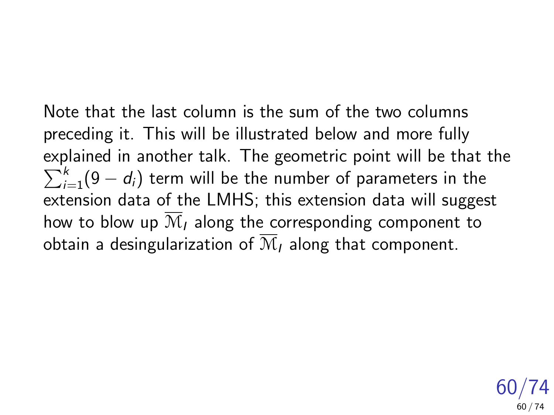Note that the last column is the sum of the two columns preceding it. This will be illustrated below and more fully explained in another talk. The geometric point will be that the  $\sum_{i=1}^k (9-d_i)$  term will be the number of parameters in the extension data of the LMHS; this extension data will suggest how to blow up  $\overline{\mathcal{M}}_I$  along the corresponding component to obtain a desingularization of  $\overline{\mathcal{M}}_l$  along that component.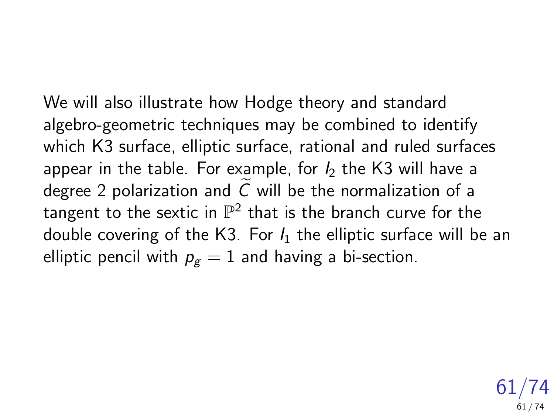We will also illustrate how Hodge theory and standard algebro-geometric techniques may be combined to identify which K3 surface, elliptic surface, rational and ruled surfaces appear in the table. For example, for  $I_2$  the K3 will have a degree 2 polarization and  $C$  will be the normalization of a tangent to the sextic in  $\mathbb{P}^2$  that is the branch curve for the double covering of the K3. For  $I_1$  the elliptic surface will be an elliptic pencil with  $p_g = 1$  and having a bi-section.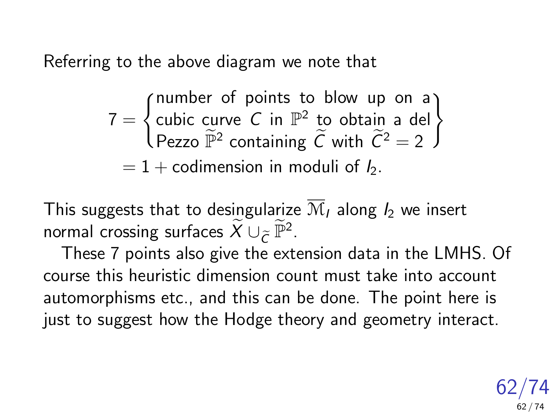Referring to the above diagram we note that

$$
7 = \begin{cases} \text{number of points to blow up on a} \\ \text{cubic curve } C \text{ in } \mathbb{P}^2 \text{ to obtain a del} \\ \text{Pezzo } \widetilde{\mathbb{P}}^2 \text{ containing } \widetilde{C} \text{ with } \widetilde{C}^2 = 2 \end{cases}
$$

$$
= 1 + \text{codimension in moduli of } I_2.
$$

This suggests that to desingularize  $\overline{\mathcal{M}}_I$  along  $I_2$  we insert normal crossing surfaces  $\widetilde{X} \cup_{\widetilde{C}} \widetilde{\mathbb{P}}^2$ .<br>These Z nainta also rive the art

These 7 points also give the extension data in the LMHS. Of course this heuristic dimension count must take into account automorphisms etc., and this can be done. The point here is just to suggest how the Hodge theory and geometry interact.

> 62/74 62 / 74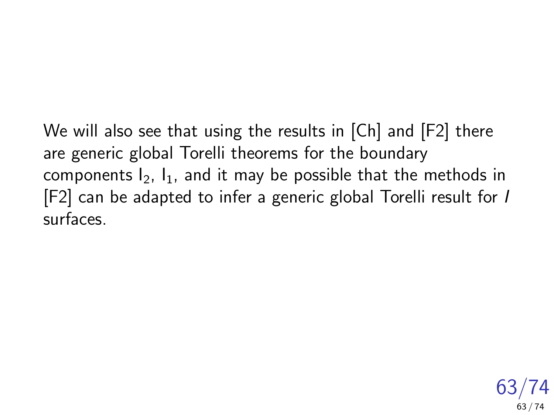We will also see that using the results in [Ch] and [F2] there are generic global Torelli theorems for the boundary components  $I_2$ ,  $I_1$ , and it may be possible that the methods in [F2] can be adapted to infer a generic global Torelli result for I surfaces.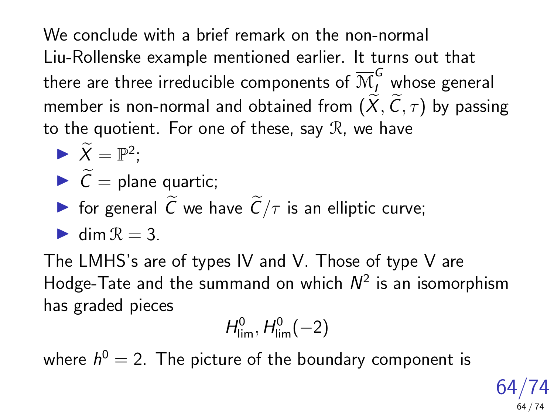We conclude with a brief remark on the non-normal Liu-Rollenske example mentioned earlier. It turns out that there are three irreducible components of  $\overline{\mathcal{M}}^{\bm{G}}_l$  whose general member is non-normal and obtained from  $(\widetilde{X}, \widetilde{C}, \tau)$  by passing to the quotient. For one of these, say  $\mathcal{R}$ , we have

- $\blacktriangleright \widetilde{X} = \mathbb{P}^2;$
- $\sum \widetilde{C}$  = plane quartic;
- **If** for general  $\tilde{C}$  we have  $\tilde{C}/\tau$  is an elliptic curve;
- $\blacktriangleright$  dim  $\mathcal{R} = 3$ .

The LMHS's are of types IV and V. Those of type V are Hodge-Tate and the summand on which  $N^2$  is an isomorphism has graded pieces

$$
H^0_{\text{lim}},H^0_{\text{lim}}(-2)
$$

where  $h^0=$  2. The picture of the boundary component is

64/74 64 / 74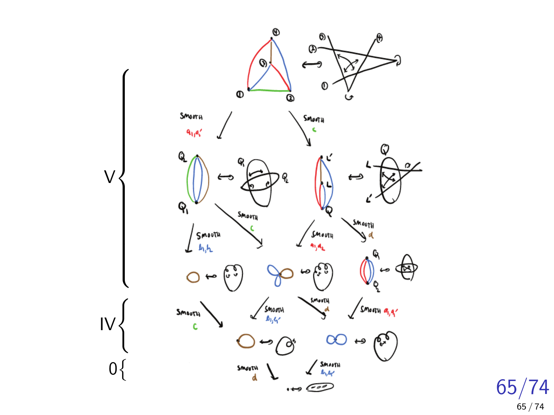

65/74 65 / 74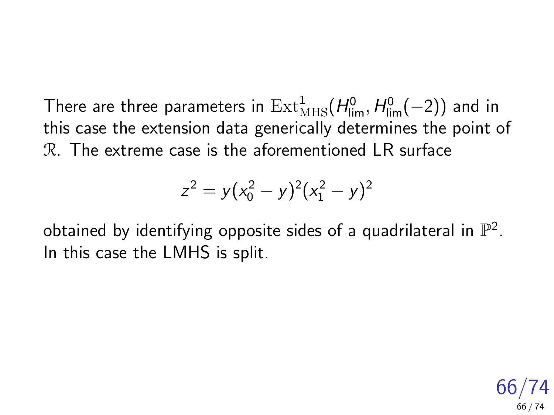There are three parameters in  $\mathrm{Ext}^1_{\mathrm{MHS}}(H^0_{\mathrm{lim}},H^0_{\mathrm{lim}}(-2))$  and in this case the extension data generically determines the point of R. The extreme case is the aforementioned LR surface

$$
z^2 = y(x_0^2 - y)^2(x_1^2 - y)^2
$$

obtained by identifying opposite sides of a quadrilateral in  $\mathbb{P}^2$ . In this case the LMHS is split.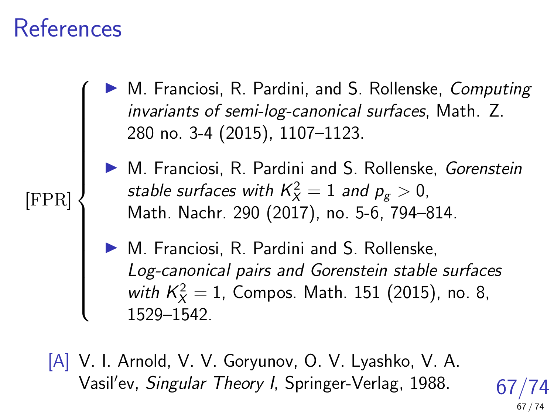## References

 $\sqrt{ }$ 

 $\begin{array}{c} \hline \end{array}$ 

[FPR]

M. Franciosi, R. Pardini, and S. Rollenske, Computing invariants of semi-log-canonical surfaces, Math. Z. 280 no. 3-4 (2015), 1107–1123.

▶ M. Franciosi, R. Pardini and S. Rollenske, Gorenstein stable surfaces with  $\mathcal{K}_X^2=1$  and  $\mathit{p}_g>0,$ Math. Nachr. 290 (2017), no. 5-6, 794–814.

M. Franciosi, R. Pardini and S. Rollenske, Log-canonical pairs and Gorenstein stable surfaces with  $K_X^2 = 1$ , Compos. Math. 151 (2015), no. 8, 1529–1542.

[A] V. I. Arnold, V. V. Goryunov, O. V. Lyashko, V. A. Vasil'ev, Singular Theory I, Springer-Verlag, 1988.

67/74 67 / 74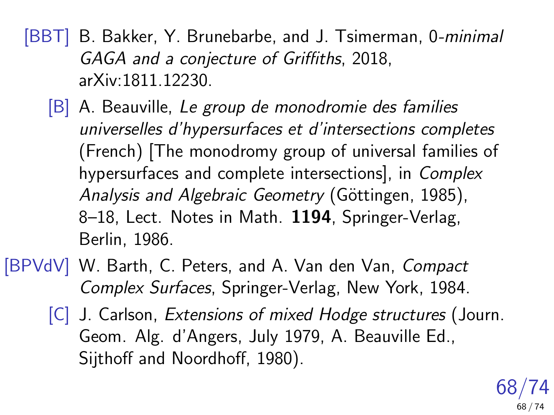[BBT] B. Bakker, Y. Brunebarbe, and J. Tsimerman, 0-*minimal* GAGA and a conjecture of Griffiths, 2018, arXiv:1811.12230.

- [B] A. Beauville, Le group de monodromie des families universelles d'hypersurfaces et d'intersections completes (French) [The monodromy group of universal families of hypersurfaces and complete intersections], in Complex Analysis and Algebraic Geometry (Göttingen, 1985), 8-18, Lect. Notes in Math. 1194, Springer-Verlag, Berlin, 1986.
- [BPVdV] W. Barth, C. Peters, and A. Van den Van, Compact Complex Surfaces, Springer-Verlag, New York, 1984.
	- [C] J. Carlson, Extensions of mixed Hodge structures (Journ. Geom. Alg. d'Angers, July 1979, A. Beauville Ed., Sijthoff and Noordhoff, 1980).

68/74 68 / 74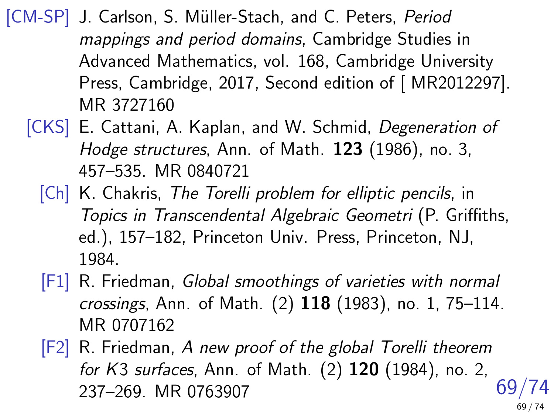[CM-SP] J. Carlson, S. Müller-Stach, and C. Peters, Period mappings and period domains, Cambridge Studies in Advanced Mathematics, vol. 168, Cambridge University Press, Cambridge, 2017, Second edition of [ MR2012297]. MR 3727160

- [CKS] E. Cattani, A. Kaplan, and W. Schmid, Degeneration of Hodge structures, Ann. of Math. 123 (1986), no. 3, 457–535. MR 0840721
	- [Ch] K. Chakris, The Torelli problem for elliptic pencils, in Topics in Transcendental Algebraic Geometri (P. Griffiths, ed.), 157–182, Princeton Univ. Press, Princeton, NJ, 1984.
	- [F1] R. Friedman, Global smoothings of varieties with normal crossings, Ann. of Math. (2) 118 (1983), no. 1, 75–114. MR 0707162
	- 69/74 [F2] R. Friedman, A new proof of the global Torelli theorem for K3 surfaces, Ann. of Math. (2) 120 (1984), no. 2, 237–269. MR 0763907 69 / 74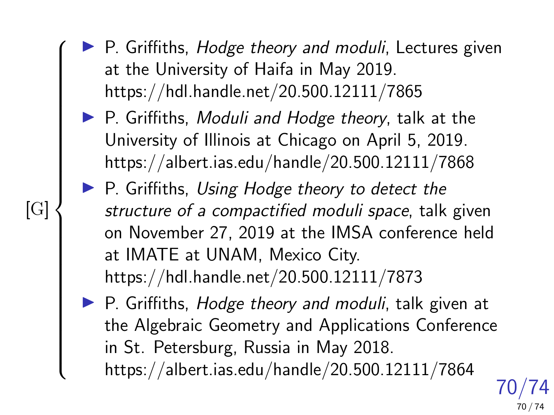- $\blacktriangleright$  P. Griffiths, Hodge theory and moduli, Lectures given at the University of Haifa in May 2019. https://hdl.handle.net/20.500.12111/7865
- $\blacktriangleright$  P. Griffiths, Moduli and Hodge theory, talk at the University of Illinois at Chicago on April 5, 2019. https://albert.ias.edu/handle/20.500.12111/7868
- $\blacktriangleright$  P. Griffiths, Using Hodge theory to detect the structure of a compactified moduli space, talk given on November 27, 2019 at the IMSA conference held at IMATE at UNAM, Mexico City. https://hdl.handle.net/20.500.12111/7873
- 70/74  $\triangleright$  P. Griffiths, *Hodge theory and moduli*, talk given at the Algebraic Geometry and Applications Conference in St. Petersburg, Russia in May 2018. https://albert.ias.edu/handle/20.500.12111/7864

70 / 74

[G]

 $\sqrt{ }$ 

 $\begin{array}{c} \begin{array}{c} \begin{array}{c} \end{array} \\ \begin{array}{c} \end{array} \end{array} \end{array}$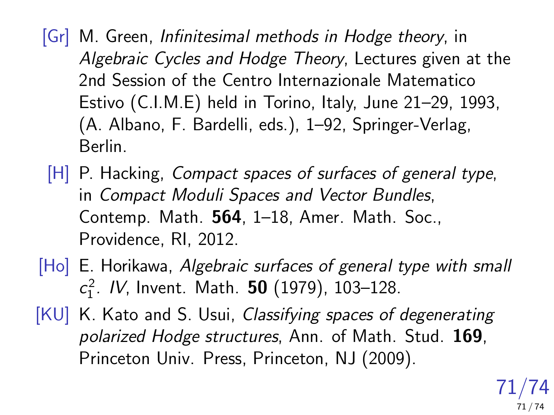- [Gr] M. Green, Infinitesimal methods in Hodge theory, in Algebraic Cycles and Hodge Theory, Lectures given at the 2nd Session of the Centro Internazionale Matematico Estivo (C.I.M.E) held in Torino, Italy, June 21–29, 1993, (A. Albano, F. Bardelli, eds.), 1–92, Springer-Verlag, Berlin.
- [H] P. Hacking, *Compact spaces of surfaces of general type*, in Compact Moduli Spaces and Vector Bundles, Contemp. Math. 564, 1–18, Amer. Math. Soc., Providence, RI, 2012.
- [Ho] E. Horikawa, Algebraic surfaces of general type with small  $c_1^2$ . IV, Invent. Math. **50** (1979), 103–128.
- [KU] K. Kato and S. Usui, Classifying spaces of degenerating polarized Hodge structures, Ann. of Math. Stud. 169. Princeton Univ. Press, Princeton, NJ (2009).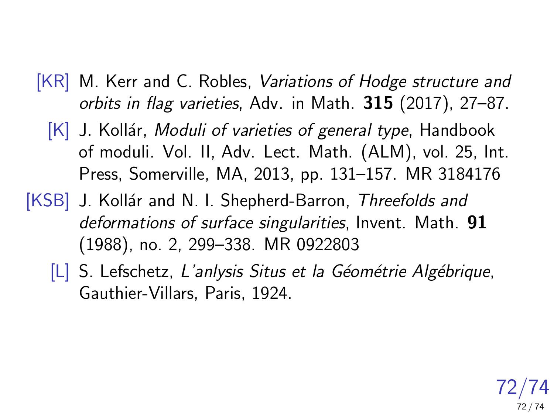- [KR] M. Kerr and C. Robles, Variations of Hodge structure and orbits in flag varieties, Adv. in Math. 315 (2017), 27–87.
	- $[K]$  J. Kollár, Moduli of varieties of general type, Handbook of moduli. Vol. II, Adv. Lect. Math. (ALM), vol. 25, Int. Press, Somerville, MA, 2013, pp. 131–157. MR 3184176
- [KSB] J. Kollár and N. I. Shepherd-Barron, Threefolds and deformations of surface singularities, Invent. Math. 91 (1988), no. 2, 299–338. MR 0922803
	- $[L]$  S. Lefschetz, L'anlysis Situs et la Géométrie Algébrique, Gauthier-Villars, Paris, 1924.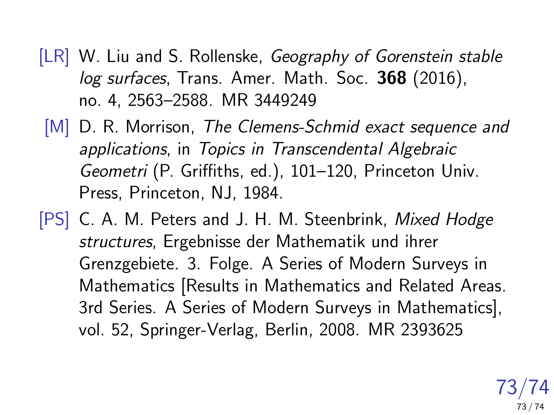- [LR] W. Liu and S. Rollenske, Geography of Gorenstein stable log surfaces, Trans. Amer. Math. Soc. 368 (2016), no. 4, 2563–2588. MR 3449249
- [M] D. R. Morrison, The Clemens-Schmid exact sequence and applications, in Topics in Transcendental Algebraic Geometri (P. Griffiths, ed.), 101–120, Princeton Univ. Press, Princeton, NJ, 1984.
- [PS] C. A. M. Peters and J. H. M. Steenbrink, Mixed Hodge structures, Ergebnisse der Mathematik und ihrer Grenzgebiete. 3. Folge. A Series of Modern Surveys in Mathematics [Results in Mathematics and Related Areas. 3rd Series. A Series of Modern Surveys in Mathematics], vol. 52, Springer-Verlag, Berlin, 2008. MR 2393625